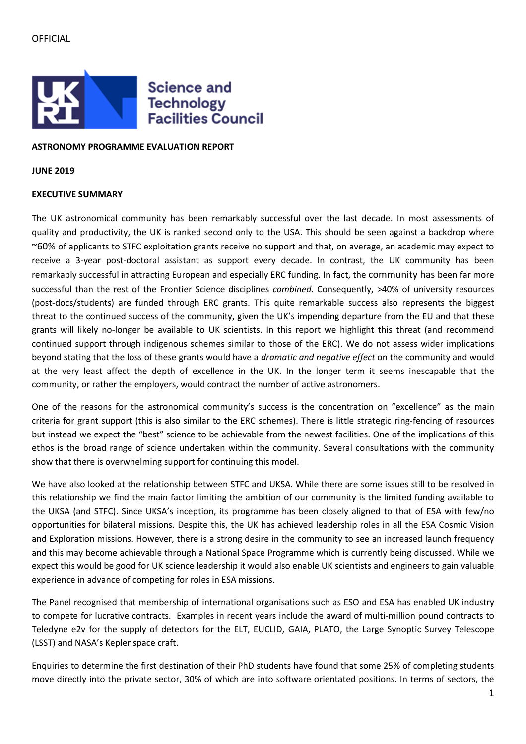## **OFFICIAL**



### **ASTRONOMY PROGRAMME EVALUATION REPORT**

**JUNE 2019**

### **EXECUTIVE SUMMARY**

The UK astronomical community has been remarkably successful over the last decade. In most assessments of quality and productivity, the UK is ranked second only to the USA. This should be seen against a backdrop where ~60% of applicants to STFC exploitation grants receive no support and that, on average, an academic may expect to receive a 3-year post-doctoral assistant as support every decade. In contrast, the UK community has been remarkably successful in attracting European and especially ERC funding. In fact, the community has been far more successful than the rest of the Frontier Science disciplines *combined*. Consequently, >40% of university resources (post-docs/students) are funded through ERC grants. This quite remarkable success also represents the biggest threat to the continued success of the community, given the UK's impending departure from the EU and that these grants will likely no-longer be available to UK scientists. In this report we highlight this threat (and recommend continued support through indigenous schemes similar to those of the ERC). We do not assess wider implications beyond stating that the loss of these grants would have a *dramatic and negative effect* on the community and would at the very least affect the depth of excellence in the UK. In the longer term it seems inescapable that the community, or rather the employers, would contract the number of active astronomers.

One of the reasons for the astronomical community's success is the concentration on "excellence" as the main criteria for grant support (this is also similar to the ERC schemes). There is little strategic ring-fencing of resources but instead we expect the "best" science to be achievable from the newest facilities. One of the implications of this ethos is the broad range of science undertaken within the community. Several consultations with the community show that there is overwhelming support for continuing this model.

We have also looked at the relationship between STFC and UKSA. While there are some issues still to be resolved in this relationship we find the main factor limiting the ambition of our community is the limited funding available to the UKSA (and STFC). Since UKSA's inception, its programme has been closely aligned to that of ESA with few/no opportunities for bilateral missions. Despite this, the UK has achieved leadership roles in all the ESA Cosmic Vision and Exploration missions. However, there is a strong desire in the community to see an increased launch frequency and this may become achievable through a National Space Programme which is currently being discussed. While we expect this would be good for UK science leadership it would also enable UK scientists and engineers to gain valuable experience in advance of competing for roles in ESA missions.

The Panel recognised that membership of international organisations such as ESO and ESA has enabled UK industry to compete for lucrative contracts. Examples in recent years include the award of multi-million pound contracts to Teledyne e2v for the supply of detectors for the ELT, EUCLID, GAIA, PLATO, the Large Synoptic Survey Telescope (LSST) and NASA's Kepler space craft.

Enquiries to determine the first destination of their PhD students have found that some 25% of completing students move directly into the private sector, 30% of which are into software orientated positions. In terms of sectors, the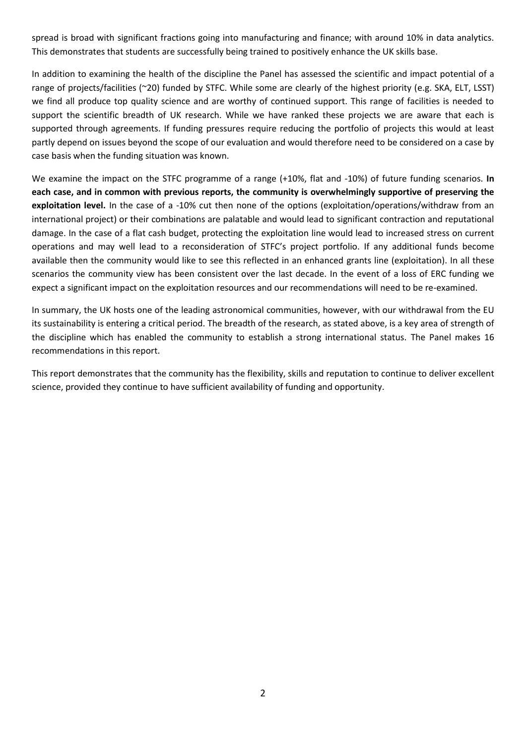spread is broad with significant fractions going into manufacturing and finance; with around 10% in data analytics. This demonstrates that students are successfully being trained to positively enhance the UK skills base.

In addition to examining the health of the discipline the Panel has assessed the scientific and impact potential of a range of projects/facilities (~20) funded by STFC. While some are clearly of the highest priority (e.g. SKA, ELT, LSST) we find all produce top quality science and are worthy of continued support. This range of facilities is needed to support the scientific breadth of UK research. While we have ranked these projects we are aware that each is supported through agreements. If funding pressures require reducing the portfolio of projects this would at least partly depend on issues beyond the scope of our evaluation and would therefore need to be considered on a case by case basis when the funding situation was known.

We examine the impact on the STFC programme of a range (+10%, flat and -10%) of future funding scenarios. **In each case, and in common with previous reports, the community is overwhelmingly supportive of preserving the exploitation level.** In the case of a -10% cut then none of the options (exploitation/operations/withdraw from an international project) or their combinations are palatable and would lead to significant contraction and reputational damage. In the case of a flat cash budget, protecting the exploitation line would lead to increased stress on current operations and may well lead to a reconsideration of STFC's project portfolio. If any additional funds become available then the community would like to see this reflected in an enhanced grants line (exploitation). In all these scenarios the community view has been consistent over the last decade. In the event of a loss of ERC funding we expect a significant impact on the exploitation resources and our recommendations will need to be re-examined.

In summary, the UK hosts one of the leading astronomical communities, however, with our withdrawal from the EU its sustainability is entering a critical period. The breadth of the research, as stated above, is a key area of strength of the discipline which has enabled the community to establish a strong international status. The Panel makes 16 recommendations in this report.

This report demonstrates that the community has the flexibility, skills and reputation to continue to deliver excellent science, provided they continue to have sufficient availability of funding and opportunity.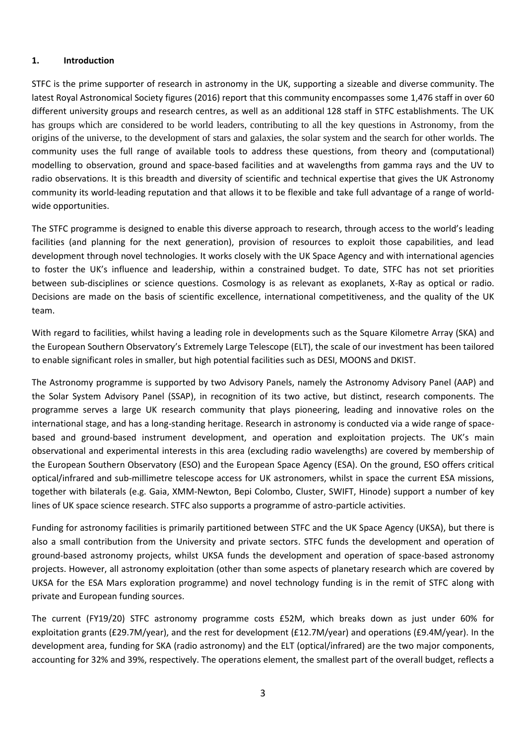### **1. Introduction**

STFC is the prime supporter of research in astronomy in the UK, supporting a sizeable and diverse community. The latest Royal Astronomical Society figures (2016) report that this community encompasses some 1,476 staff in over 60 different university groups and research centres, as well as an additional 128 staff in STFC establishments. The UK has groups which are considered to be world leaders, contributing to all the key questions in Astronomy, from the origins of the universe, to the development of stars and galaxies, the solar system and the search for other worlds. The community uses the full range of available tools to address these questions, from theory and (computational) modelling to observation, ground and space-based facilities and at wavelengths from gamma rays and the UV to radio observations. It is this breadth and diversity of scientific and technical expertise that gives the UK Astronomy community its world-leading reputation and that allows it to be flexible and take full advantage of a range of worldwide opportunities.

The STFC programme is designed to enable this diverse approach to research, through access to the world's leading facilities (and planning for the next generation), provision of resources to exploit those capabilities, and lead development through novel technologies. It works closely with the UK Space Agency and with international agencies to foster the UK's influence and leadership, within a constrained budget. To date, STFC has not set priorities between sub-disciplines or science questions. Cosmology is as relevant as exoplanets, X-Ray as optical or radio. Decisions are made on the basis of scientific excellence, international competitiveness, and the quality of the UK team.

With regard to facilities, whilst having a leading role in developments such as the Square Kilometre Array (SKA) and the European Southern Observatory's Extremely Large Telescope (ELT), the scale of our investment has been tailored to enable significant roles in smaller, but high potential facilities such as DESI, MOONS and DKIST.

The Astronomy programme is supported by two Advisory Panels, namely the Astronomy Advisory Panel (AAP) and the Solar System Advisory Panel (SSAP), in recognition of its two active, but distinct, research components. The programme serves a large UK research community that plays pioneering, leading and innovative roles on the international stage, and has a long-standing heritage. Research in astronomy is conducted via a wide range of spacebased and ground-based instrument development, and operation and exploitation projects. The UK's main observational and experimental interests in this area (excluding radio wavelengths) are covered by membership of the European Southern Observatory (ESO) and the European Space Agency (ESA). On the ground, ESO offers critical optical/infrared and sub-millimetre telescope access for UK astronomers, whilst in space the current ESA missions, together with bilaterals (e.g. Gaia, XMM-Newton, Bepi Colombo, Cluster, SWIFT, Hinode) support a number of key lines of UK space science research. STFC also supports a programme of astro-particle activities.

Funding for astronomy facilities is primarily partitioned between STFC and the UK Space Agency (UKSA), but there is also a small contribution from the University and private sectors. STFC funds the development and operation of ground-based astronomy projects, whilst UKSA funds the development and operation of space-based astronomy projects. However, all astronomy exploitation (other than some aspects of planetary research which are covered by UKSA for the ESA Mars exploration programme) and novel technology funding is in the remit of STFC along with private and European funding sources.

The current (FY19/20) STFC astronomy programme costs £52M, which breaks down as just under 60% for exploitation grants (£29.7M/year), and the rest for development (£12.7M/year) and operations (£9.4M/year). In the development area, funding for SKA (radio astronomy) and the ELT (optical/infrared) are the two major components, accounting for 32% and 39%, respectively. The operations element, the smallest part of the overall budget, reflects a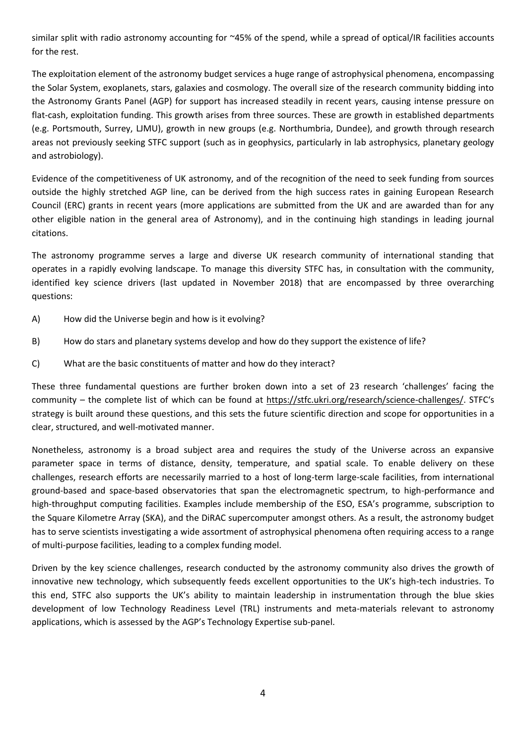similar split with radio astronomy accounting for ~45% of the spend, while a spread of optical/IR facilities accounts for the rest.

The exploitation element of the astronomy budget services a huge range of astrophysical phenomena, encompassing the Solar System, exoplanets, stars, galaxies and cosmology. The overall size of the research community bidding into the Astronomy Grants Panel (AGP) for support has increased steadily in recent years, causing intense pressure on flat-cash, exploitation funding. This growth arises from three sources. These are growth in established departments (e.g. Portsmouth, Surrey, LJMU), growth in new groups (e.g. Northumbria, Dundee), and growth through research areas not previously seeking STFC support (such as in geophysics, particularly in lab astrophysics, planetary geology and astrobiology).

Evidence of the competitiveness of UK astronomy, and of the recognition of the need to seek funding from sources outside the highly stretched AGP line, can be derived from the high success rates in gaining European Research Council (ERC) grants in recent years (more applications are submitted from the UK and are awarded than for any other eligible nation in the general area of Astronomy), and in the continuing high standings in leading journal citations.

The astronomy programme serves a large and diverse UK research community of international standing that operates in a rapidly evolving landscape. To manage this diversity STFC has, in consultation with the community, identified key science drivers (last updated in November 2018) that are encompassed by three overarching questions:

- A) How did the Universe begin and how is it evolving?
- B) How do stars and planetary systems develop and how do they support the existence of life?
- C) What are the basic constituents of matter and how do they interact?

These three fundamental questions are further broken down into a set of 23 research 'challenges' facing the community – the complete list of which can be found at<https://stfc.ukri.org/research/science-challenges/>. STFC's strategy is built around these questions, and this sets the future scientific direction and scope for opportunities in a clear, structured, and well-motivated manner.

Nonetheless, astronomy is a broad subject area and requires the study of the Universe across an expansive parameter space in terms of distance, density, temperature, and spatial scale. To enable delivery on these challenges, research efforts are necessarily married to a host of long-term large-scale facilities, from international ground-based and space-based observatories that span the electromagnetic spectrum, to high-performance and high-throughput computing facilities. Examples include membership of the ESO, ESA's programme, subscription to the Square Kilometre Array (SKA), and the DiRAC supercomputer amongst others. As a result, the astronomy budget has to serve scientists investigating a wide assortment of astrophysical phenomena often requiring access to a range of multi-purpose facilities, leading to a complex funding model.

Driven by the key science challenges, research conducted by the astronomy community also drives the growth of innovative new technology, which subsequently feeds excellent opportunities to the UK's high-tech industries. To this end, STFC also supports the UK's ability to maintain leadership in instrumentation through the blue skies development of low Technology Readiness Level (TRL) instruments and meta-materials relevant to astronomy applications, which is assessed by the AGP's Technology Expertise sub-panel.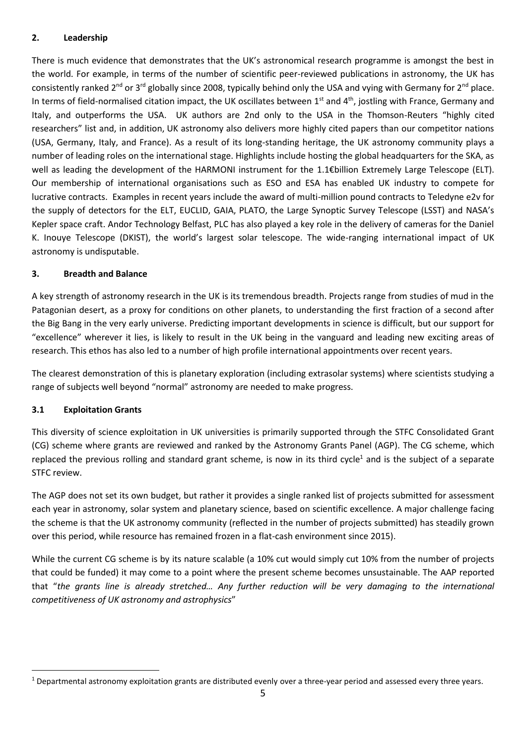## **2. Leadership**

There is much evidence that demonstrates that the UK's astronomical research programme is amongst the best in the world. For example, in terms of the number of scientific peer-reviewed publications in astronomy, the UK has consistently ranked 2<sup>nd</sup> or 3<sup>rd</sup> globally since 2008, typically behind only the USA and vying with Germany for 2<sup>nd</sup> place. In terms of field-normalised citation impact, the UK oscillates between 1<sup>st</sup> and 4<sup>th</sup>, jostling with France, Germany and Italy, and outperforms the USA. UK authors are 2nd only to the USA in the Thomson-Reuters "highly cited researchers" list and, in addition, UK astronomy also delivers more highly cited papers than our competitor nations (USA, Germany, Italy, and France). As a result of its long-standing heritage, the UK astronomy community plays a number of leading roles on the international stage. Highlights include hosting the global headquarters for the SKA, as well as leading the development of the HARMONI instrument for the 1.1€billion Extremely Large Telescope (ELT). Our membership of international organisations such as ESO and ESA has enabled UK industry to compete for lucrative contracts. Examples in recent years include the award of multi-million pound contracts to Teledyne e2v for the supply of detectors for the ELT, EUCLID, GAIA, PLATO, the Large Synoptic Survey Telescope (LSST) and NASA's Kepler space craft. Andor Technology Belfast, PLC has also played a key role in the delivery of cameras for the Daniel K. Inouye Telescope (DKIST), the world's largest solar telescope. The wide-ranging international impact of UK astronomy is undisputable.

## **3. Breadth and Balance**

A key strength of astronomy research in the UK is its tremendous breadth. Projects range from studies of mud in the Patagonian desert, as a proxy for conditions on other planets, to understanding the first fraction of a second after the Big Bang in the very early universe. Predicting important developments in science is difficult, but our support for "excellence" wherever it lies, is likely to result in the UK being in the vanguard and leading new exciting areas of research. This ethos has also led to a number of high profile international appointments over recent years.

The clearest demonstration of this is planetary exploration (including extrasolar systems) where scientists studying a range of subjects well beyond "normal" astronomy are needed to make progress.

## **3.1 Exploitation Grants**

This diversity of science exploitation in UK universities is primarily supported through the STFC Consolidated Grant (CG) scheme where grants are reviewed and ranked by the Astronomy Grants Panel (AGP). The CG scheme, which replaced the previous rolling and standard grant scheme, is now in its third cycle<sup>1</sup> and is the subject of a separate STFC review.

The AGP does not set its own budget, but rather it provides a single ranked list of projects submitted for assessment each year in astronomy, solar system and planetary science, based on scientific excellence. A major challenge facing the scheme is that the UK astronomy community (reflected in the number of projects submitted) has steadily grown over this period, while resource has remained frozen in a flat-cash environment since 2015).

While the current CG scheme is by its nature scalable (a 10% cut would simply cut 10% from the number of projects that could be funded) it may come to a point where the present scheme becomes unsustainable. The AAP reported that "*the grants line is already stretched… Any further reduction will be very damaging to the international competitiveness of UK astronomy and astrophysics*"

<sup>&</sup>lt;sup>1</sup> Departmental astronomy exploitation grants are distributed evenly over a three-year period and assessed every three years.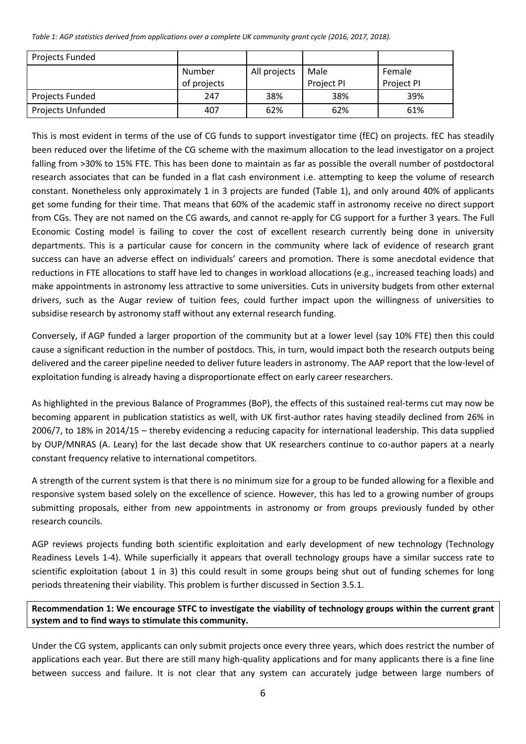<span id="page-5-0"></span>*Table 1: AGP statistics derived from applications over a complete UK community grant cycle (2016, 2017, 2018).*

| Projects Funded   |             |              |            |            |
|-------------------|-------------|--------------|------------|------------|
|                   | Number      | All projects | Male       | Female     |
|                   | of projects |              | Project PI | Project PI |
| Projects Funded   | 247         | 38%          | 38%        | 39%        |
| Projects Unfunded | 407         | 62%          | 62%        | 61%        |

This is most evident in terms of the use of CG funds to support investigator time (fEC) on projects. fEC has steadily been reduced over the lifetime of the CG scheme with the maximum allocation to the lead investigator on a project falling from >30% to 15% FTE. This has been done to maintain as far as possible the overall number of postdoctoral research associates that can be funded in a flat cash environment i.e. attempting to keep the volume of research constant. Nonetheless only approximately 1 in 3 projects are funded [\(Table 1\)](#page-5-0), and only around 40% of applicants get some funding for their time. That means that 60% of the academic staff in astronomy receive no direct support from CGs. They are not named on the CG awards, and cannot re-apply for CG support for a further 3 years. The Full Economic Costing model is failing to cover the cost of excellent research currently being done in university departments. This is a particular cause for concern in the community where lack of evidence of research grant success can have an adverse effect on individuals' careers and promotion. There is some anecdotal evidence that reductions in FTE allocations to staff have led to changes in workload allocations (e.g., increased teaching loads) and make appointments in astronomy less attractive to some universities. Cuts in university budgets from other external drivers, such as the Augar review of tuition fees, could further impact upon the willingness of universities to subsidise research by astronomy staff without any external research funding.

Conversely, if AGP funded a larger proportion of the community but at a lower level (say 10% FTE) then this could cause a significant reduction in the number of postdocs. This, in turn, would impact both the research outputs being delivered and the career pipeline needed to deliver future leaders in astronomy. The AAP report that the low-level of exploitation funding is already having a disproportionate effect on early career researchers.

As highlighted in the previous Balance of Programmes (BoP), the effects of this sustained real-terms cut may now be becoming apparent in publication statistics as well, with UK first-author rates having steadily declined from 26% in 2006/7, to 18% in 2014/15 – thereby evidencing a reducing capacity for international leadership. This data supplied by OUP/MNRAS (A. Leary) for the last decade show that UK researchers continue to co-author papers at a nearly constant frequency relative to international competitors.

A strength of the current system is that there is no minimum size for a group to be funded allowing for a flexible and responsive system based solely on the excellence of science. However, this has led to a growing number of groups submitting proposals, either from new appointments in astronomy or from groups previously funded by other research councils.

AGP reviews projects funding both scientific exploitation and early development of new technology (Technology Readiness Levels 1-4). While superficially it appears that overall technology groups have a similar success rate to scientific exploitation (about 1 in 3) this could result in some groups being shut out of funding schemes for long periods threatening their viability. This problem is further discussed in Section 3.5.1.

# **Recommendation 1: We encourage STFC to investigate the viability of technology groups within the current grant system and to find ways to stimulate this community.**

Under the CG system, applicants can only submit projects once every three years, which does restrict the number of applications each year. But there are still many high-quality applications and for many applicants there is a fine line between success and failure. It is not clear that any system can accurately judge between large numbers of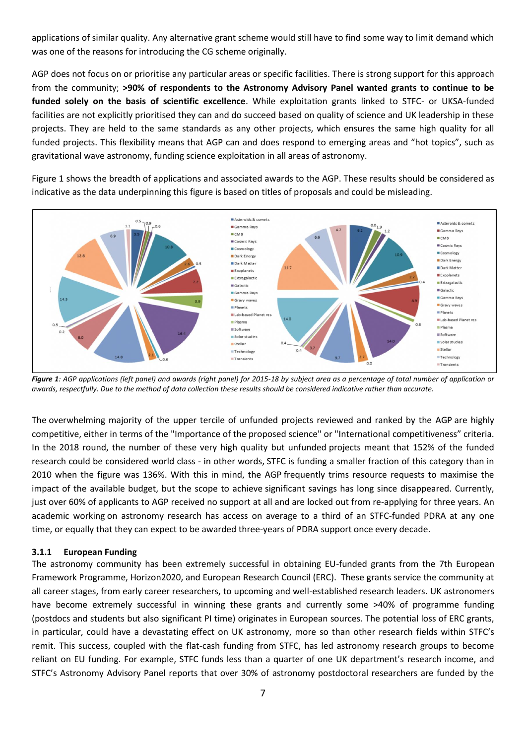applications of similar quality. Any alternative grant scheme would still have to find some way to limit demand which was one of the reasons for introducing the CG scheme originally.

AGP does not focus on or prioritise any particular areas or specific facilities. There is strong support for this approach from the community; **>90% of respondents to the Astronomy Advisory Panel wanted grants to continue to be funded solely on the basis of scientific excellence**. While exploitation grants linked to STFC- or UKSA-funded facilities are not explicitly prioritised they can and do succeed based on quality of science and UK leadership in these projects. They are held to the same standards as any other projects, which ensures the same high quality for all funded projects. This flexibility means that AGP can and does respond to emerging areas and "hot topics", such as gravitational wave astronomy, funding science exploitation in all areas of astronomy.

[Figure 1](#page-6-0) shows the breadth of applications and associated awards to the AGP. These results should be considered as indicative as the data underpinning this figure is based on titles of proposals and could be misleading.



<span id="page-6-0"></span>*Figure 1: AGP applications (left panel) and awards (right panel) for 2015-18 by subject area as a percentage of total number of application or awards, respectfully. Due to the method of data collection these results should be considered indicative rather than accurate.*

The overwhelming majority of the upper tercile of unfunded projects reviewed and ranked by the AGP are highly competitive, either in terms of the "Importance of the proposed science" or "International competitiveness" criteria. In the 2018 round, the number of these very high quality but unfunded projects meant that 152% of the funded research could be considered world class - in other words, STFC is funding a smaller fraction of this category than in 2010 when the figure was 136%. With this in mind, the AGP frequently trims resource requests to maximise the impact of the available budget, but the scope to achieve significant savings has long since disappeared. Currently, just over 60% of applicants to AGP received no support at all and are locked out from re-applying for three years. An academic working on astronomy research has access on average to a third of an STFC-funded PDRA at any one time, or equally that they can expect to be awarded three-years of PDRA support once every decade.

### **3.1.1 European Funding**

The astronomy community has been extremely successful in obtaining EU-funded grants from the 7th European Framework Programme, Horizon2020, and European Research Council (ERC). These grants service the community at all career stages, from early career researchers, to upcoming and well-established research leaders. UK astronomers have become extremely successful in winning these grants and currently some >40% of programme funding (postdocs and students but also significant PI time) originates in European sources. The potential loss of ERC grants, in particular, could have a devastating effect on UK astronomy, more so than other research fields within STFC's remit. This success, coupled with the flat-cash funding from STFC, has led astronomy research groups to become reliant on EU funding. For example, STFC funds less than a quarter of one UK department's research income, and STFC's Astronomy Advisory Panel reports that over 30% of astronomy postdoctoral researchers are funded by the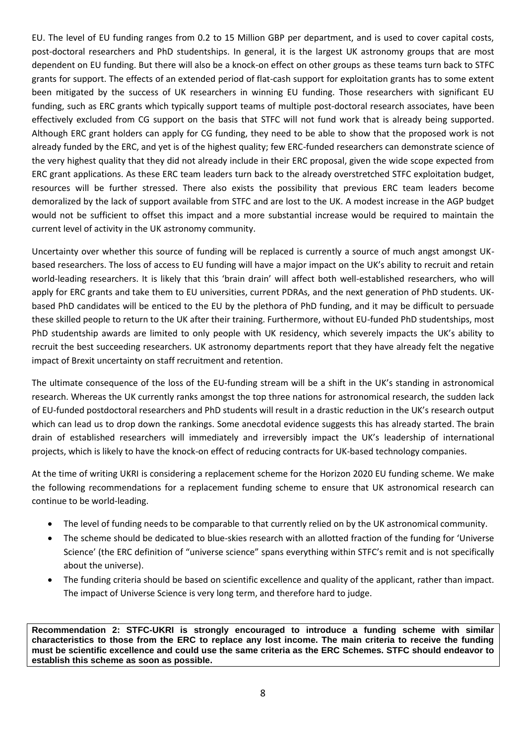EU. The level of EU funding ranges from 0.2 to 15 Million GBP per department, and is used to cover capital costs, post-doctoral researchers and PhD studentships. In general, it is the largest UK astronomy groups that are most dependent on EU funding. But there will also be a knock-on effect on other groups as these teams turn back to STFC grants for support. The effects of an extended period of flat-cash support for exploitation grants has to some extent been mitigated by the success of UK researchers in winning EU funding. Those researchers with significant EU funding, such as ERC grants which typically support teams of multiple post-doctoral research associates, have been effectively excluded from CG support on the basis that STFC will not fund work that is already being supported. Although ERC grant holders can apply for CG funding, they need to be able to show that the proposed work is not already funded by the ERC, and yet is of the highest quality; few ERC-funded researchers can demonstrate science of the very highest quality that they did not already include in their ERC proposal, given the wide scope expected from ERC grant applications. As these ERC team leaders turn back to the already overstretched STFC exploitation budget, resources will be further stressed. There also exists the possibility that previous ERC team leaders become demoralized by the lack of support available from STFC and are lost to the UK. A modest increase in the AGP budget would not be sufficient to offset this impact and a more substantial increase would be required to maintain the current level of activity in the UK astronomy community.

Uncertainty over whether this source of funding will be replaced is currently a source of much angst amongst UKbased researchers. The loss of access to EU funding will have a major impact on the UK's ability to recruit and retain world-leading researchers. It is likely that this 'brain drain' will affect both well-established researchers, who will apply for ERC grants and take them to EU universities, current PDRAs, and the next generation of PhD students. UKbased PhD candidates will be enticed to the EU by the plethora of PhD funding, and it may be difficult to persuade these skilled people to return to the UK after their training. Furthermore, without EU-funded PhD studentships, most PhD studentship awards are limited to only people with UK residency, which severely impacts the UK's ability to recruit the best succeeding researchers. UK astronomy departments report that they have already felt the negative impact of Brexit uncertainty on staff recruitment and retention.

The ultimate consequence of the loss of the EU-funding stream will be a shift in the UK's standing in astronomical research. Whereas the UK currently ranks amongst the top three nations for astronomical research, the sudden lack of EU-funded postdoctoral researchers and PhD students will result in a drastic reduction in the UK's research output which can lead us to drop down the rankings. Some anecdotal evidence suggests this has already started. The brain drain of established researchers will immediately and irreversibly impact the UK's leadership of international projects, which is likely to have the knock-on effect of reducing contracts for UK-based technology companies.

At the time of writing UKRI is considering a replacement scheme for the Horizon 2020 EU funding scheme. We make the following recommendations for a replacement funding scheme to ensure that UK astronomical research can continue to be world-leading.

- The level of funding needs to be comparable to that currently relied on by the UK astronomical community.
- The scheme should be dedicated to blue-skies research with an allotted fraction of the funding for 'Universe Science' (the ERC definition of "universe science" spans everything within STFC's remit and is not specifically about the universe).
- The funding criteria should be based on scientific excellence and quality of the applicant, rather than impact. The impact of Universe Science is very long term, and therefore hard to judge.

**Recommendation 2: STFC-UKRI is strongly encouraged to introduce a funding scheme with similar characteristics to those from the ERC to replace any lost income. The main criteria to receive the funding must be scientific excellence and could use the same criteria as the ERC Schemes. STFC should endeavor to establish this scheme as soon as possible.**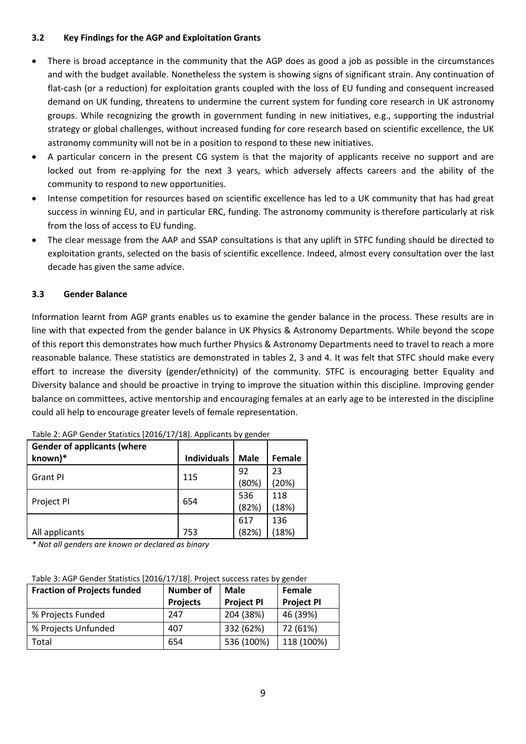## **3.2 Key Findings for the AGP and Exploitation Grants**

- There is broad acceptance in the community that the AGP does as good a job as possible in the circumstances and with the budget available. Nonetheless the system is showing signs of significant strain. Any continuation of flat-cash (or a reduction) for exploitation grants coupled with the loss of EU funding and consequent increased demand on UK funding, threatens to undermine the current system for funding core research in UK astronomy groups. While recognizing the growth in government funding in new initiatives, e.g., supporting the industrial strategy or global challenges, without increased funding for core research based on scientific excellence, the UK astronomy community will not be in a position to respond to these new initiatives.
- A particular concern in the present CG system is that the majority of applicants receive no support and are locked out from re-applying for the next 3 years, which adversely affects careers and the ability of the community to respond to new opportunities.
- Intense competition for resources based on scientific excellence has led to a UK community that has had great success in winning EU, and in particular ERC, funding. The astronomy community is therefore particularly at risk from the loss of access to EU funding.
- The clear message from the AAP and SSAP consultations is that any uplift in STFC funding should be directed to exploitation grants, selected on the basis of scientific excellence. Indeed, almost every consultation over the last decade has given the same advice.

## **3.3 Gender Balance**

Information learnt from AGP grants enables us to examine the gender balance in the process. These results are in line with that expected from the gender balance in UK Physics & Astronomy Departments. While beyond the scope of this report this demonstrates how much further Physics & Astronomy Departments need to travel to reach a more reasonable balance. These statistics are demonstrated in tables 2, 3 and 4. It was felt that STFC should make every effort to increase the diversity (gender/ethnicity) of the community. STFC is encouraging better Equality and Diversity balance and should be proactive in trying to improve the situation within this discipline. Improving gender balance on committees, active mentorship and encouraging females at an early age to be interested in the discipline could all help to encourage greater levels of female representation.

| <b>Gender of applicants (where</b> |                    |             |        |
|------------------------------------|--------------------|-------------|--------|
| known)*                            | <b>Individuals</b> | <b>Male</b> | Female |
|                                    |                    | 92          | 23     |
| <b>Grant PI</b>                    | 115                | (80%)       | (20%)  |
|                                    |                    | 536         | 118    |
| Project PI                         | 654                | (82%)       | (18%)  |
|                                    |                    | 617         | 136    |
| All applicants                     | 753                | (82%)       | (18%)  |

Table 2: AGP Gender Statistics [2016/17/18]. Applicants by gender

*\* Not all genders are known or declared as binary*

|  | Table 3: AGP Gender Statistics [2016/17/18]. Project success rates by gender |  |
|--|------------------------------------------------------------------------------|--|
|  |                                                                              |  |

| <b>Fraction of Projects funded</b> | Number of       | <b>Male</b>       | Female            |
|------------------------------------|-----------------|-------------------|-------------------|
|                                    | <b>Projects</b> | <b>Project PI</b> | <b>Project PI</b> |
| % Projects Funded                  | 247             | 204 (38%)         | 46 (39%)          |
| % Projects Unfunded                | 407             | 332 (62%)         | 72 (61%)          |
| Total                              | 654             | 536 (100%)        | 118 (100%)        |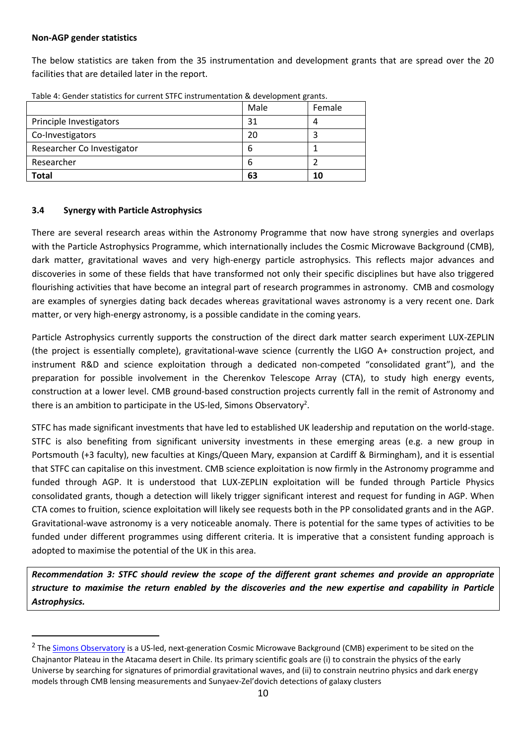### **Non-AGP gender statistics**

The below statistics are taken from the 35 instrumentation and development grants that are spread over the 20 facilities that are detailed later in the report.

| Researcher<br>6                 |        |
|---------------------------------|--------|
|                                 |        |
| Researcher Co Investigator<br>6 |        |
| Co-Investigators<br>20          |        |
| Principle Investigators<br>31   |        |
| Male                            | Female |

Table 4: Gender statistics for current STFC instrumentation & development grants.

## **3.4 Synergy with Particle Astrophysics**

There are several research areas within the Astronomy Programme that now have strong synergies and overlaps with the Particle Astrophysics Programme, which internationally includes the Cosmic Microwave Background (CMB), dark matter, gravitational waves and very high-energy particle astrophysics. This reflects major advances and discoveries in some of these fields that have transformed not only their specific disciplines but have also triggered flourishing activities that have become an integral part of research programmes in astronomy. CMB and cosmology are examples of synergies dating back decades whereas gravitational waves astronomy is a very recent one. Dark matter, or very high-energy astronomy, is a possible candidate in the coming years.

Particle Astrophysics currently supports the construction of the direct dark matter search experiment LUX-ZEPLIN (the project is essentially complete), gravitational-wave science (currently the LIGO A+ construction project, and instrument R&D and science exploitation through a dedicated non-competed "consolidated grant"), and the preparation for possible involvement in the Cherenkov Telescope Array (CTA), to study high energy events, construction at a lower level. CMB ground-based construction projects currently fall in the remit of Astronomy and there is an ambition to participate in the US-led, Simons Observatory<sup>2</sup>.

STFC has made significant investments that have led to established UK leadership and reputation on the world-stage. STFC is also benefiting from significant university investments in these emerging areas (e.g. a new group in Portsmouth (+3 faculty), new faculties at Kings/Queen Mary, expansion at Cardiff & Birmingham), and it is essential that STFC can capitalise on this investment. CMB science exploitation is now firmly in the Astronomy programme and funded through AGP. It is understood that LUX-ZEPLIN exploitation will be funded through Particle Physics consolidated grants, though a detection will likely trigger significant interest and request for funding in AGP. When CTA comes to fruition, science exploitation will likely see requests both in the PP consolidated grants and in the AGP. Gravitational-wave astronomy is a very noticeable anomaly. There is potential for the same types of activities to be funded under different programmes using different criteria. It is imperative that a consistent funding approach is adopted to maximise the potential of the UK in this area.

*Recommendation 3: STFC should review the scope of the different grant schemes and provide an appropriate structure to maximise the return enabled by the discoveries and the new expertise and capability in Particle Astrophysics.*

<sup>&</sup>lt;sup>2</sup> The <u>Simons Observatory</u> is a US-led, next-generation Cosmic Microwave Background (CMB) experiment to be sited on the Chajnantor Plateau in the Atacama desert in Chile. Its primary scientific goals are (i) to constrain the physics of the early Universe by searching for signatures of primordial gravitational waves, and (ii) to constrain neutrino physics and dark energy models through CMB lensing measurements and Sunyaev-Zel'dovich detections of galaxy clusters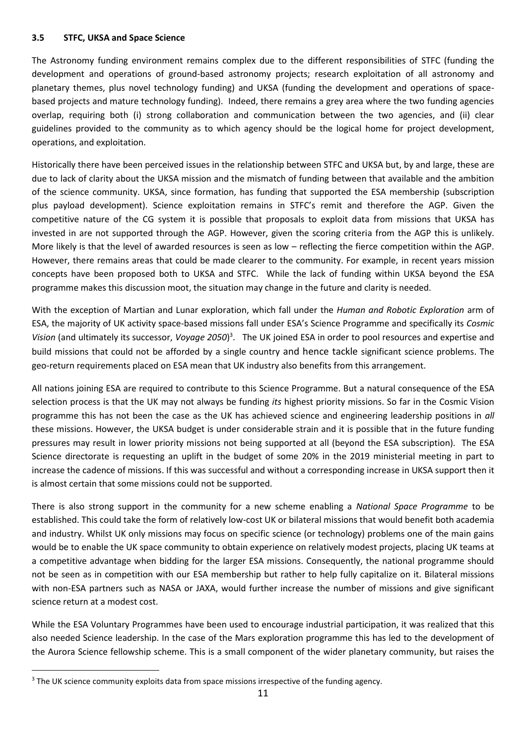### **3.5 STFC, UKSA and Space Science**

The Astronomy funding environment remains complex due to the different responsibilities of STFC (funding the development and operations of ground-based astronomy projects; research exploitation of all astronomy and planetary themes, plus novel technology funding) and UKSA (funding the development and operations of spacebased projects and mature technology funding). Indeed, there remains a grey area where the two funding agencies overlap, requiring both (i) strong collaboration and communication between the two agencies, and (ii) clear guidelines provided to the community as to which agency should be the logical home for project development, operations, and exploitation.

Historically there have been perceived issues in the relationship between STFC and UKSA but, by and large, these are due to lack of clarity about the UKSA mission and the mismatch of funding between that available and the ambition of the science community. UKSA, since formation, has funding that supported the ESA membership (subscription plus payload development). Science exploitation remains in STFC's remit and therefore the AGP. Given the competitive nature of the CG system it is possible that proposals to exploit data from missions that UKSA has invested in are not supported through the AGP. However, given the scoring criteria from the AGP this is unlikely. More likely is that the level of awarded resources is seen as low – reflecting the fierce competition within the AGP. However, there remains areas that could be made clearer to the community. For example, in recent years mission concepts have been proposed both to UKSA and STFC. While the lack of funding within UKSA beyond the ESA programme makes this discussion moot, the situation may change in the future and clarity is needed.

With the exception of Martian and Lunar exploration, which fall under the *Human and Robotic Exploration* arm of ESA, the majority of UK activity space-based missions fall under ESA's Science Programme and specifically its *Cosmic*  Vision (and ultimately its successor, Voyage 2050)<sup>3</sup>. The UK joined ESA in order to pool resources and expertise and build missions that could not be afforded by a single country and hence tackle significant science problems. The geo-return requirements placed on ESA mean that UK industry also benefits from this arrangement.

All nations joining ESA are required to contribute to this Science Programme. But a natural consequence of the ESA selection process is that the UK may not always be funding *its* highest priority missions. So far in the Cosmic Vision programme this has not been the case as the UK has achieved science and engineering leadership positions in *all*  these missions. However, the UKSA budget is under considerable strain and it is possible that in the future funding pressures may result in lower priority missions not being supported at all (beyond the ESA subscription). The ESA Science directorate is requesting an uplift in the budget of some 20% in the 2019 ministerial meeting in part to increase the cadence of missions. If this was successful and without a corresponding increase in UKSA support then it is almost certain that some missions could not be supported.

There is also strong support in the community for a new scheme enabling a *National Space Programme* to be established. This could take the form of relatively low-cost UK or bilateral missions that would benefit both academia and industry. Whilst UK only missions may focus on specific science (or technology) problems one of the main gains would be to enable the UK space community to obtain experience on relatively modest projects, placing UK teams at a competitive advantage when bidding for the larger ESA missions. Consequently, the national programme should not be seen as in competition with our ESA membership but rather to help fully capitalize on it. Bilateral missions with non-ESA partners such as NASA or JAXA, would further increase the number of missions and give significant science return at a modest cost.

While the ESA Voluntary Programmes have been used to encourage industrial participation, it was realized that this also needed Science leadership. In the case of the Mars exploration programme this has led to the development of the Aurora Science fellowship scheme. This is a small component of the wider planetary community, but raises the

<sup>&</sup>lt;sup>3</sup> The UK science community exploits data from space missions irrespective of the funding agency.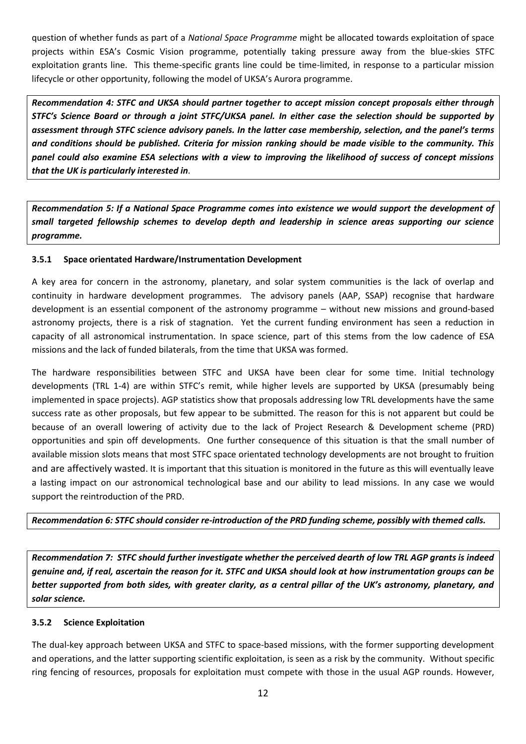question of whether funds as part of a *National Space Programme* might be allocated towards exploitation of space projects within ESA's Cosmic Vision programme, potentially taking pressure away from the blue-skies STFC exploitation grants line. This theme-specific grants line could be time-limited, in response to a particular mission lifecycle or other opportunity, following the model of UKSA's Aurora programme.

*Recommendation 4: STFC and UKSA should partner together to accept mission concept proposals either through STFC's Science Board or through a joint STFC/UKSA panel. In either case the selection should be supported by assessment through STFC science advisory panels. In the latter case membership, selection, and the panel's terms and conditions should be published. Criteria for mission ranking should be made visible to the community. This panel could also examine ESA selections with a view to improving the likelihood of success of concept missions that the UK is particularly interested in.*

*Recommendation 5: If a National Space Programme comes into existence we would support the development of small targeted fellowship schemes to develop depth and leadership in science areas supporting our science programme.*

## **3.5.1 Space orientated Hardware/Instrumentation Development**

A key area for concern in the astronomy, planetary, and solar system communities is the lack of overlap and continuity in hardware development programmes. The advisory panels (AAP, SSAP) recognise that hardware development is an essential component of the astronomy programme – without new missions and ground-based astronomy projects, there is a risk of stagnation. Yet the current funding environment has seen a reduction in capacity of all astronomical instrumentation. In space science, part of this stems from the low cadence of ESA missions and the lack of funded bilaterals, from the time that UKSA was formed.

The hardware responsibilities between STFC and UKSA have been clear for some time. Initial technology developments (TRL 1-4) are within STFC's remit, while higher levels are supported by UKSA (presumably being implemented in space projects). AGP statistics show that proposals addressing low TRL developments have the same success rate as other proposals, but few appear to be submitted. The reason for this is not apparent but could be because of an overall lowering of activity due to the lack of Project Research & Development scheme (PRD) opportunities and spin off developments. One further consequence of this situation is that the small number of available mission slots means that most STFC space orientated technology developments are not brought to fruition and are affectively wasted. It is important that this situation is monitored in the future as this will eventually leave a lasting impact on our astronomical technological base and our ability to lead missions. In any case we would support the reintroduction of the PRD.

*Recommendation 6: STFC should consider re-introduction of the PRD funding scheme, possibly with themed calls.* 

*Recommendation 7: STFC should further investigate whether the perceived dearth of low TRL AGP grants is indeed genuine and, if real, ascertain the reason for it. STFC and UKSA should look at how instrumentation groups can be better supported from both sides, with greater clarity, as a central pillar of the UK's astronomy, planetary, and solar science.*

## **3.5.2 Science Exploitation**

The dual-key approach between UKSA and STFC to space-based missions, with the former supporting development and operations, and the latter supporting scientific exploitation, is seen as a risk by the community. Without specific ring fencing of resources, proposals for exploitation must compete with those in the usual AGP rounds. However,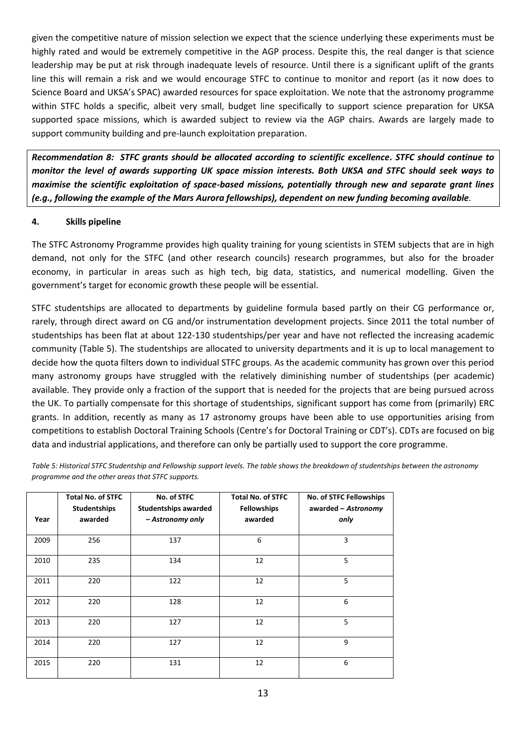given the competitive nature of mission selection we expect that the science underlying these experiments must be highly rated and would be extremely competitive in the AGP process. Despite this, the real danger is that science leadership may be put at risk through inadequate levels of resource. Until there is a significant uplift of the grants line this will remain a risk and we would encourage STFC to continue to monitor and report (as it now does to Science Board and UKSA's SPAC) awarded resources for space exploitation. We note that the astronomy programme within STFC holds a specific, albeit very small, budget line specifically to support science preparation for UKSA supported space missions, which is awarded subject to review via the AGP chairs. Awards are largely made to support community building and pre-launch exploitation preparation.

*Recommendation 8: STFC grants should be allocated according to scientific excellence. STFC should continue to monitor the level of awards supporting UK space mission interests. Both UKSA and STFC should seek ways to maximise the scientific exploitation of space-based missions, potentially through new and separate grant lines (e.g., following the example of the Mars Aurora fellowships), dependent on new funding becoming available.*

## **4. Skills pipeline**

The STFC Astronomy Programme provides high quality training for young scientists in STEM subjects that are in high demand, not only for the STFC (and other research councils) research programmes, but also for the broader economy, in particular in areas such as high tech, big data, statistics, and numerical modelling. Given the government's target for economic growth these people will be essential.

STFC studentships are allocated to departments by guideline formula based partly on their CG performance or, rarely, through direct award on CG and/or instrumentation development projects. Since 2011 the total number of studentships has been flat at about 122-130 studentships/per year and have not reflected the increasing academic community (Table 5). The studentships are allocated to university departments and it is up to local management to decide how the quota filters down to individual STFC groups. As the academic community has grown over this period many astronomy groups have struggled with the relatively diminishing number of studentships (per academic) available. They provide only a fraction of the support that is needed for the projects that are being pursued across the UK. To partially compensate for this shortage of studentships, significant support has come from (primarily) ERC grants. In addition, recently as many as 17 astronomy groups have been able to use opportunities arising from competitions to establish Doctoral Training Schools (Centre's for Doctoral Training or CDT's). CDTs are focused on big data and industrial applications, and therefore can only be partially used to support the core programme.

| Year | <b>Total No. of STFC</b><br><b>Studentships</b><br>awarded | No. of STFC<br><b>Studentships awarded</b><br>- Astronomy only | <b>Total No. of STFC</b><br><b>Fellowships</b><br>awarded | No. of STFC Fellowships<br>awarded - Astronomy<br>only |
|------|------------------------------------------------------------|----------------------------------------------------------------|-----------------------------------------------------------|--------------------------------------------------------|
|      |                                                            |                                                                |                                                           |                                                        |
| 2009 | 256                                                        | 137                                                            | 6                                                         | 3                                                      |
| 2010 | 235                                                        | 134                                                            | 12                                                        | 5                                                      |
| 2011 | 220                                                        | 122                                                            | 12                                                        | 5                                                      |
| 2012 | 220                                                        | 128                                                            | 12                                                        | 6                                                      |
| 2013 | 220                                                        | 127                                                            | 12                                                        | 5                                                      |
| 2014 | 220                                                        | 127                                                            | 12                                                        | 9                                                      |
| 2015 | 220                                                        | 131                                                            | 12                                                        | 6                                                      |

*Table 5: Historical STFC Studentship and Fellowship support levels. The table shows the breakdown of studentships between the astronomy programme and the other areas that STFC supports.*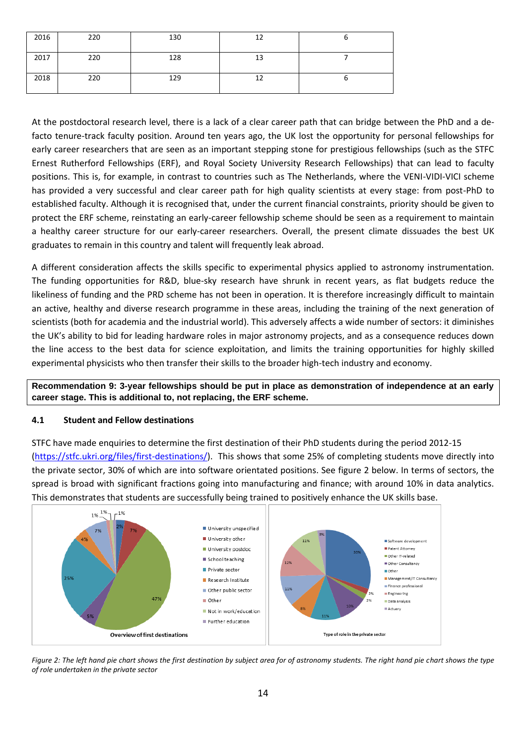| 2016 | 220 | 130 | 12 |  |
|------|-----|-----|----|--|
| 2017 | 220 | 128 | 13 |  |
| 2018 | 220 | 129 | 12 |  |

At the postdoctoral research level, there is a lack of a clear career path that can bridge between the PhD and a defacto tenure-track faculty position. Around ten years ago, the UK lost the opportunity for personal fellowships for early career researchers that are seen as an important stepping stone for prestigious fellowships (such as the STFC Ernest Rutherford Fellowships (ERF), and Royal Society University Research Fellowships) that can lead to faculty positions. This is, for example, in contrast to countries such as The Netherlands, where the VENI-VIDI-VICI scheme has provided a very successful and clear career path for high quality scientists at every stage: from post-PhD to established faculty. Although it is recognised that, under the current financial constraints, priority should be given to protect the ERF scheme, reinstating an early-career fellowship scheme should be seen as a requirement to maintain a healthy career structure for our early-career researchers. Overall, the present climate dissuades the best UK graduates to remain in this country and talent will frequently leak abroad.

A different consideration affects the skills specific to experimental physics applied to astronomy instrumentation. The funding opportunities for R&D, blue-sky research have shrunk in recent years, as flat budgets reduce the likeliness of funding and the PRD scheme has not been in operation. It is therefore increasingly difficult to maintain an active, healthy and diverse research programme in these areas, including the training of the next generation of scientists (both for academia and the industrial world). This adversely affects a wide number of sectors: it diminishes the UK's ability to bid for leading hardware roles in major astronomy projects, and as a consequence reduces down the line access to the best data for science exploitation, and limits the training opportunities for highly skilled experimental physicists who then transfer their skills to the broader high-tech industry and economy.

**Recommendation 9: 3-year fellowships should be put in place as demonstration of independence at an early career stage. This is additional to, not replacing, the ERF scheme.**

### **4.1 Student and Fellow destinations**

STFC have made enquiries to determine the first destination of their PhD students during the period 2012-15 [\(https://stfc.ukri.org/files/first-destinations/\)](https://stfc.ukri.org/files/first-destinations/). This shows that some 25% of completing students move directly into the private sector, 30% of which are into software orientated positions. See figure 2 below. In terms of sectors, the spread is broad with significant fractions going into manufacturing and finance; with around 10% in data analytics. This demonstrates that students are successfully being trained to positively enhance the UK skills base.



*Figure 2: The left hand pie chart shows the first destination by subject area for of astronomy students. The right hand pie chart shows the type of role undertaken in the private sector*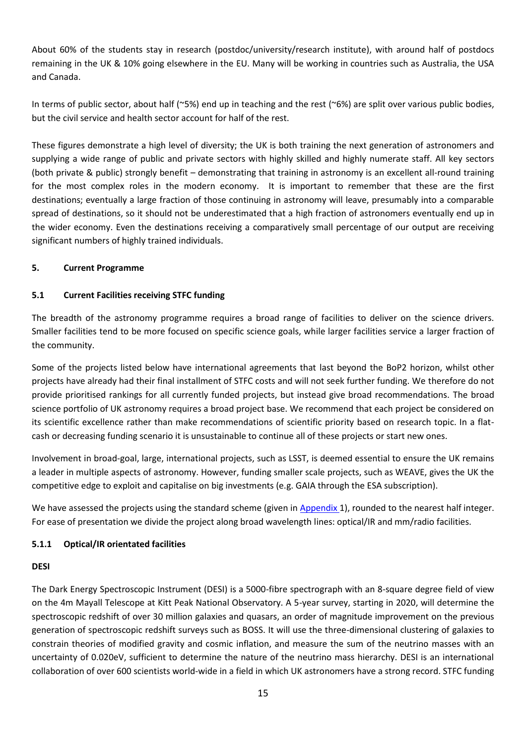About 60% of the students stay in research (postdoc/university/research institute), with around half of postdocs remaining in the UK & 10% going elsewhere in the EU. Many will be working in countries such as Australia, the USA and Canada.

In terms of public sector, about half (~5%) end up in teaching and the rest (~6%) are split over various public bodies, but the civil service and health sector account for half of the rest.

These figures demonstrate a high level of diversity; the UK is both training the next generation of astronomers and supplying a wide range of public and private sectors with highly skilled and highly numerate staff. All key sectors (both private & public) strongly benefit – demonstrating that training in astronomy is an excellent all-round training for the most complex roles in the modern economy. It is important to remember that these are the first destinations; eventually a large fraction of those continuing in astronomy will leave, presumably into a comparable spread of destinations, so it should not be underestimated that a high fraction of astronomers eventually end up in the wider economy. Even the destinations receiving a comparatively small percentage of our output are receiving significant numbers of highly trained individuals.

# **5. Current Programme**

# **5.1 Current Facilities receiving STFC funding**

The breadth of the astronomy programme requires a broad range of facilities to deliver on the science drivers. Smaller facilities tend to be more focused on specific science goals, while larger facilities service a larger fraction of the community.

Some of the projects listed below have international agreements that last beyond the BoP2 horizon, whilst other projects have already had their final installment of STFC costs and will not seek further funding. We therefore do not provide prioritised rankings for all currently funded projects, but instead give broad recommendations. The broad science portfolio of UK astronomy requires a broad project base. We recommend that each project be considered on its scientific excellence rather than make recommendations of scientific priority based on research topic. In a flatcash or decreasing funding scenario it is unsustainable to continue all of these projects or start new ones.

Involvement in broad-goal, large, international projects, such as LSST, is deemed essential to ensure the UK remains a leader in multiple aspects of astronomy. However, funding smaller scale projects, such as WEAVE, gives the UK the competitive edge to exploit and capitalise on big investments (e.g. GAIA through the ESA subscription).

We have assessed the projects using the standard scheme (given in [Appendix](#page-29-0) 1), rounded to the nearest half integer. For ease of presentation we divide the project along broad wavelength lines: optical/IR and mm/radio facilities.

## **5.1.1 Optical/IR orientated facilities**

# **DESI**

The Dark Energy Spectroscopic Instrument (DESI) is a 5000-fibre spectrograph with an 8-square degree field of view on the 4m Mayall Telescope at Kitt Peak National Observatory. A 5-year survey, starting in 2020, will determine the spectroscopic redshift of over 30 million galaxies and quasars, an order of magnitude improvement on the previous generation of spectroscopic redshift surveys such as BOSS. It will use the three-dimensional clustering of galaxies to constrain theories of modified gravity and cosmic inflation, and measure the sum of the neutrino masses with an uncertainty of 0.020eV, sufficient to determine the nature of the neutrino mass hierarchy. DESI is an international collaboration of over 600 scientists world-wide in a field in which UK astronomers have a strong record. STFC funding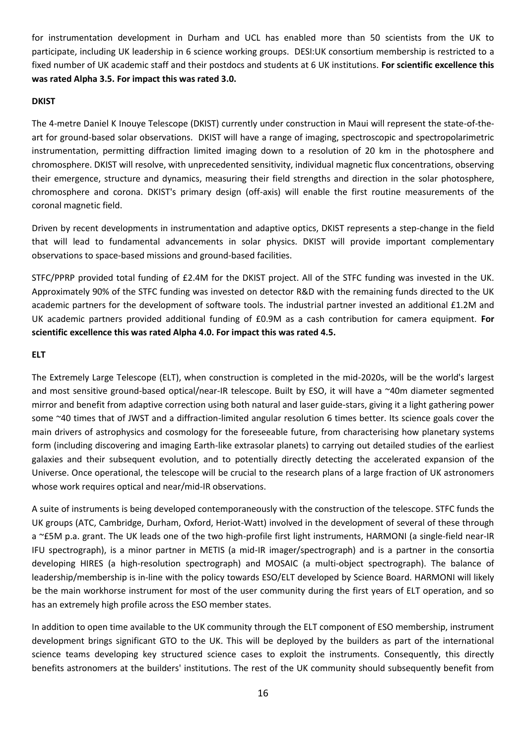for instrumentation development in Durham and UCL has enabled more than 50 scientists from the UK to participate, including UK leadership in 6 science working groups. DESI:UK consortium membership is restricted to a fixed number of UK academic staff and their postdocs and students at 6 UK institutions. **For scientific excellence this was rated Alpha 3.5. For impact this was rated 3.0.**

### **DKIST**

The 4-metre Daniel K Inouye Telescope (DKIST) currently under construction in Maui will represent the state-of-theart for ground-based solar observations. DKIST will have a range of imaging, spectroscopic and spectropolarimetric instrumentation, permitting diffraction limited imaging down to a resolution of 20 km in the photosphere and chromosphere. DKIST will resolve, with unprecedented sensitivity, individual magnetic flux concentrations, observing their emergence, structure and dynamics, measuring their field strengths and direction in the solar photosphere, chromosphere and corona. DKIST's primary design (off-axis) will enable the first routine measurements of the coronal magnetic field.

Driven by recent developments in instrumentation and adaptive optics, DKIST represents a step-change in the field that will lead to fundamental advancements in solar physics. DKIST will provide important complementary observations to space-based missions and ground-based facilities.

STFC/PPRP provided total funding of £2.4M for the DKIST project. All of the STFC funding was invested in the UK. Approximately 90% of the STFC funding was invested on detector R&D with the remaining funds directed to the UK academic partners for the development of software tools. The industrial partner invested an additional £1.2M and UK academic partners provided additional funding of £0.9M as a cash contribution for camera equipment. **For scientific excellence this was rated Alpha 4.0. For impact this was rated 4.5.**

## **ELT**

The Extremely Large Telescope (ELT), when construction is completed in the mid-2020s, will be the world's largest and most sensitive ground-based optical/near-IR telescope. Built by ESO, it will have a ~40m diameter segmented mirror and benefit from adaptive correction using both natural and laser guide-stars, giving it a light gathering power some ~40 times that of JWST and a diffraction-limited angular resolution 6 times better. Its science goals cover the main drivers of astrophysics and cosmology for the foreseeable future, from characterising how planetary systems form (including discovering and imaging Earth-like extrasolar planets) to carrying out detailed studies of the earliest galaxies and their subsequent evolution, and to potentially directly detecting the accelerated expansion of the Universe. Once operational, the telescope will be crucial to the research plans of a large fraction of UK astronomers whose work requires optical and near/mid-IR observations.

A suite of instruments is being developed contemporaneously with the construction of the telescope. STFC funds the UK groups (ATC, Cambridge, Durham, Oxford, Heriot-Watt) involved in the development of several of these through a ~£5M p.a. grant. The UK leads one of the two high-profile first light instruments, HARMONI (a single-field near-IR IFU spectrograph), is a minor partner in METIS (a mid-IR imager/spectrograph) and is a partner in the consortia developing HIRES (a high-resolution spectrograph) and MOSAIC (a multi-object spectrograph). The balance of leadership/membership is in-line with the policy towards ESO/ELT developed by Science Board. HARMONI will likely be the main workhorse instrument for most of the user community during the first years of ELT operation, and so has an extremely high profile across the ESO member states.

In addition to open time available to the UK community through the ELT component of ESO membership, instrument development brings significant GTO to the UK. This will be deployed by the builders as part of the international science teams developing key structured science cases to exploit the instruments. Consequently, this directly benefits astronomers at the builders' institutions. The rest of the UK community should subsequently benefit from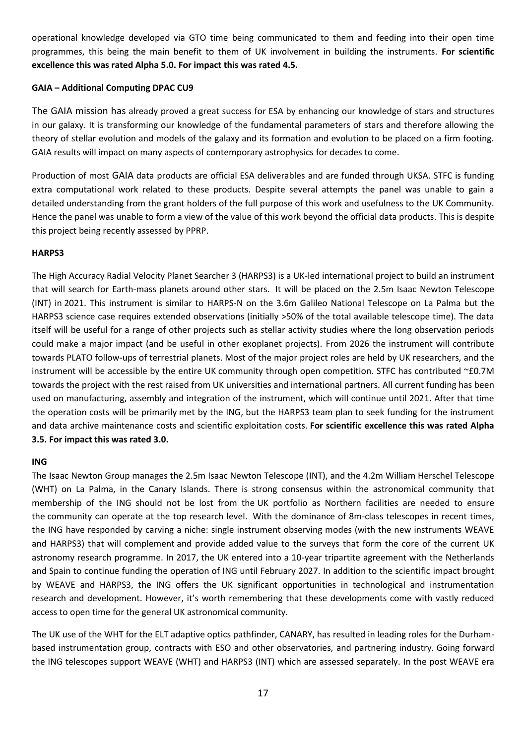operational knowledge developed via GTO time being communicated to them and feeding into their open time programmes, this being the main benefit to them of UK involvement in building the instruments. **For scientific excellence this was rated Alpha 5.0. For impact this was rated 4.5.**

## **GAIA – Additional Computing DPAC CU9**

The GAIA mission has already proved a great success for ESA by enhancing our knowledge of stars and structures in our galaxy. It is transforming our knowledge of the fundamental parameters of stars and therefore allowing the theory of stellar evolution and models of the galaxy and its formation and evolution to be placed on a firm footing. GAIA results will impact on many aspects of contemporary astrophysics for decades to come.

Production of most GAIA data products are official ESA deliverables and are funded through UKSA. STFC is funding extra computational work related to these products. Despite several attempts the panel was unable to gain a detailed understanding from the grant holders of the full purpose of this work and usefulness to the UK Community. Hence the panel was unable to form a view of the value of this work beyond the official data products. This is despite this project being recently assessed by PPRP.

### **HARPS3**

The High Accuracy Radial Velocity Planet Searcher 3 (HARPS3) is a UK-led international project to build an instrument that will search for Earth-mass planets around other stars. It will be placed on the 2.5m Isaac Newton Telescope (INT) in 2021. This instrument is similar to HARPS-N on the 3.6m Galileo National Telescope on La Palma but the HARPS3 science case requires extended observations (initially >50% of the total available telescope time). The data itself will be useful for a range of other projects such as stellar activity studies where the long observation periods could make a major impact (and be useful in other exoplanet projects). From 2026 the instrument will contribute towards PLATO follow-ups of terrestrial planets. Most of the major project roles are held by UK researchers, and the instrument will be accessible by the entire UK community through open competition. STFC has contributed ~£0.7M towards the project with the rest raised from UK universities and international partners. All current funding has been used on manufacturing, assembly and integration of the instrument, which will continue until 2021. After that time the operation costs will be primarily met by the ING, but the HARPS3 team plan to seek funding for the instrument and data archive maintenance costs and scientific exploitation costs. **For scientific excellence this was rated Alpha 3.5. For impact this was rated 3.0.**

### **ING**

The Isaac Newton Group manages the 2.5m Isaac Newton Telescope (INT), and the 4.2m William Herschel Telescope (WHT) on La Palma, in the Canary Islands. There is strong consensus within the astronomical community that membership of the ING should not be lost from the UK portfolio as Northern facilities are needed to ensure the community can operate at the top research level. With the dominance of 8m-class telescopes in recent times, the ING have responded by carving a niche: single instrument observing modes (with the new instruments WEAVE and HARPS3) that will complement and provide added value to the surveys that form the core of the current UK astronomy research programme. In 2017, the UK entered into a 10-year tripartite agreement with the Netherlands and Spain to continue funding the operation of ING until February 2027. In addition to the scientific impact brought by WEAVE and HARPS3, the ING offers the UK significant opportunities in technological and instrumentation research and development. However, it's worth remembering that these developments come with vastly reduced access to open time for the general UK astronomical community.

The UK use of the WHT for the ELT adaptive optics pathfinder, CANARY, has resulted in leading roles for the Durhambased instrumentation group, contracts with ESO and other observatories, and partnering industry. Going forward the ING telescopes support WEAVE (WHT) and HARPS3 (INT) which are assessed separately. In the post WEAVE era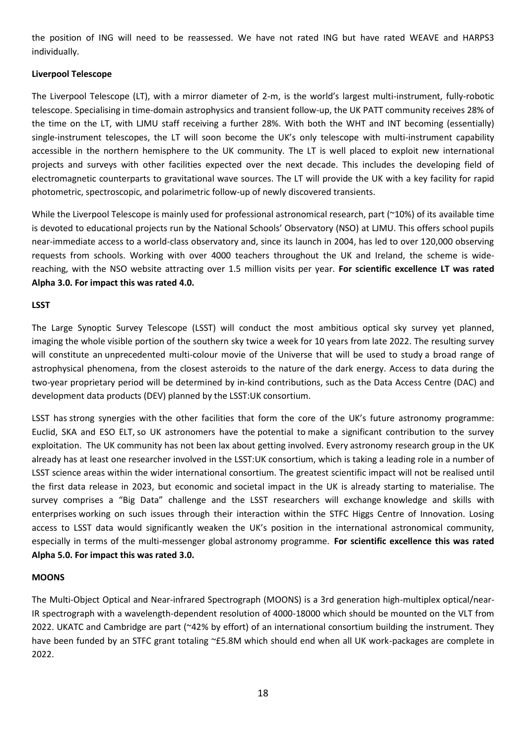the position of ING will need to be reassessed. We have not rated ING but have rated WEAVE and HARPS3 individually.

## **Liverpool Telescope**

The Liverpool Telescope (LT), with a mirror diameter of 2-m, is the world's largest multi-instrument, fully-robotic telescope. Specialising in time-domain astrophysics and transient follow-up, the UK PATT community receives 28% of the time on the LT, with LJMU staff receiving a further 28%. With both the WHT and INT becoming (essentially) single-instrument telescopes, the LT will soon become the UK's only telescope with multi-instrument capability accessible in the northern hemisphere to the UK community. The LT is well placed to exploit new international projects and surveys with other facilities expected over the next decade. This includes the developing field of electromagnetic counterparts to gravitational wave sources. The LT will provide the UK with a key facility for rapid photometric, spectroscopic, and polarimetric follow-up of newly discovered transients.

While the Liverpool Telescope is mainly used for professional astronomical research, part (~10%) of its available time is devoted to educational projects run by the National Schools' Observatory (NSO) at LJMU. This offers school pupils near-immediate access to a world-class observatory and, since its launch in 2004, has led to over 120,000 observing requests from schools. Working with over 4000 teachers throughout the UK and Ireland, the scheme is widereaching, with the NSO website attracting over 1.5 million visits per year. **For scientific excellence LT was rated Alpha 3.0. For impact this was rated 4.0.**

## **LSST**

The Large Synoptic Survey Telescope (LSST) will conduct the most ambitious optical sky survey yet planned, imaging the whole visible portion of the southern sky twice a week for 10 years from late 2022. The resulting survey will constitute an unprecedented multi-colour movie of the Universe that will be used to study a broad range of astrophysical phenomena, from the closest asteroids to the nature of the dark energy. Access to data during the two-year proprietary period will be determined by in-kind contributions, such as the Data Access Centre (DAC) and development data products (DEV) planned by the LSST:UK consortium.

LSST has strong synergies with the other facilities that form the core of the UK's future astronomy programme: Euclid, SKA and ESO ELT, so UK astronomers have the potential to make a significant contribution to the survey exploitation. The UK community has not been lax about getting involved. Every astronomy research group in the UK already has at least one researcher involved in the LSST:UK consortium, which is taking a leading role in a number of LSST science areas within the wider international consortium. The greatest scientific impact will not be realised until the first data release in 2023, but economic and societal impact in the UK is already starting to materialise. The survey comprises a "Big Data" challenge and the LSST researchers will exchange knowledge and skills with enterprises working on such issues through their interaction within the STFC Higgs Centre of Innovation. Losing access to LSST data would significantly weaken the UK's position in the international astronomical community, especially in terms of the multi-messenger global astronomy programme. **For scientific excellence this was rated Alpha 5.0. For impact this was rated 3.0.**

### **MOONS**

The Multi-Object Optical and Near-infrared Spectrograph (MOONS) is a 3rd generation high-multiplex optical/near-IR spectrograph with a wavelength-dependent resolution of 4000-18000 which should be mounted on the VLT from 2022. UKATC and Cambridge are part (~42% by effort) of an international consortium building the instrument. They have been funded by an STFC grant totaling ~£5.8M which should end when all UK work-packages are complete in 2022.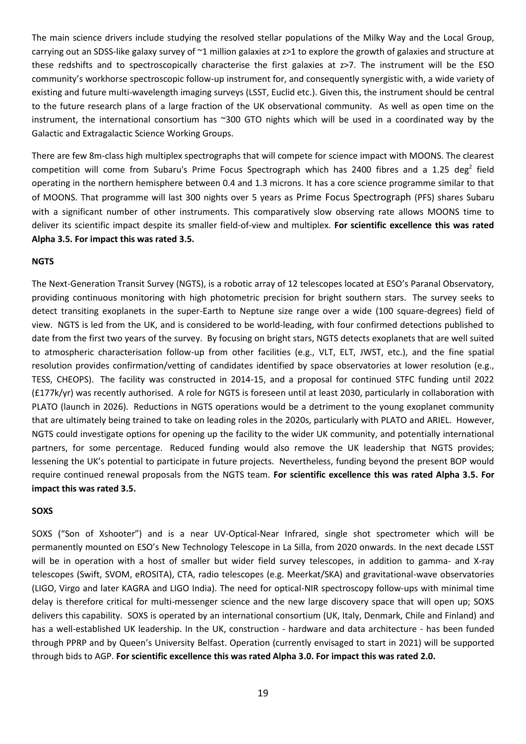The main science drivers include studying the resolved stellar populations of the Milky Way and the Local Group, carrying out an SDSS-like galaxy survey of  $\sim$ 1 million galaxies at z>1 to explore the growth of galaxies and structure at these redshifts and to spectroscopically characterise the first galaxies at z>7. The instrument will be the ESO community's workhorse spectroscopic follow-up instrument for, and consequently synergistic with, a wide variety of existing and future multi-wavelength imaging surveys (LSST, Euclid etc.). Given this, the instrument should be central to the future research plans of a large fraction of the UK observational community. As well as open time on the instrument, the international consortium has ~300 GTO nights which will be used in a coordinated way by the Galactic and Extragalactic Science Working Groups.

There are few 8m-class high multiplex spectrographs that will compete for science impact with MOONS. The clearest competition will come from Subaru's Prime Focus Spectrograph which has 2400 fibres and a 1.25 deg<sup>2</sup> field operating in the northern hemisphere between 0.4 and 1.3 microns. It has a core science programme similar to that of MOONS. That programme will last 300 nights over 5 years as Prime Focus Spectrograph (PFS) shares Subaru with a significant number of other instruments. This comparatively slow observing rate allows MOONS time to deliver its scientific impact despite its smaller field-of-view and multiplex. **For scientific excellence this was rated Alpha 3.5. For impact this was rated 3.5.**

### **NGTS**

The Next-Generation Transit Survey (NGTS), is a robotic array of 12 telescopes located at ESO's Paranal Observatory, providing continuous monitoring with high photometric precision for bright southern stars. The survey seeks to detect transiting exoplanets in the super-Earth to Neptune size range over a wide (100 square-degrees) field of view. NGTS is led from the UK, and is considered to be world-leading, with four confirmed detections published to date from the first two years of the survey. By focusing on bright stars, NGTS detects exoplanets that are well suited to atmospheric characterisation follow-up from other facilities (e.g., VLT, ELT, JWST, etc.), and the fine spatial resolution provides confirmation/vetting of candidates identified by space observatories at lower resolution (e.g., TESS, CHEOPS). The facility was constructed in 2014-15, and a proposal for continued STFC funding until 2022 (£177k/yr) was recently authorised. A role for NGTS is foreseen until at least 2030, particularly in collaboration with PLATO (launch in 2026). Reductions in NGTS operations would be a detriment to the young exoplanet community that are ultimately being trained to take on leading roles in the 2020s, particularly with PLATO and ARIEL. However, NGTS could investigate options for opening up the facility to the wider UK community, and potentially international partners, for some percentage. Reduced funding would also remove the UK leadership that NGTS provides; lessening the UK's potential to participate in future projects. Nevertheless, funding beyond the present BOP would require continued renewal proposals from the NGTS team. **For scientific excellence this was rated Alpha 3.5. For impact this was rated 3.5.**

#### **SOXS**

SOXS ("Son of Xshooter") and is a near UV-Optical-Near Infrared, single shot spectrometer which will be permanently mounted on ESO's New Technology Telescope in La Silla, from 2020 onwards. In the next decade LSST will be in operation with a host of smaller but wider field survey telescopes, in addition to gamma- and X-ray telescopes (Swift, SVOM, eROSITA), CTA, radio telescopes (e.g. Meerkat/SKA) and gravitational-wave observatories (LIGO, Virgo and later KAGRA and LIGO India). The need for optical-NIR spectroscopy follow-ups with minimal time delay is therefore critical for multi-messenger science and the new large discovery space that will open up; SOXS delivers this capability. SOXS is operated by an international consortium (UK, Italy, Denmark, Chile and Finland) and has a well-established UK leadership. In the UK, construction - hardware and data architecture - has been funded through PPRP and by Queen's University Belfast. Operation (currently envisaged to start in 2021) will be supported through bids to AGP. **For scientific excellence this was rated Alpha 3.0. For impact this was rated 2.0.**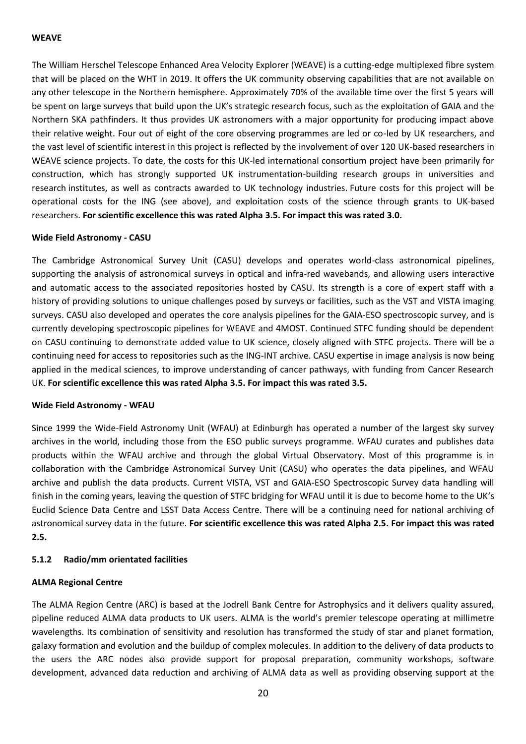### **WEAVE**

The William Herschel Telescope Enhanced Area Velocity Explorer (WEAVE) is a cutting-edge multiplexed fibre system that will be placed on the WHT in 2019. It offers the UK community observing capabilities that are not available on any other telescope in the Northern hemisphere. Approximately 70% of the available time over the first 5 years will be spent on large surveys that build upon the UK's strategic research focus, such as the exploitation of GAIA and the Northern SKA pathfinders. It thus provides UK astronomers with a major opportunity for producing impact above their relative weight. Four out of eight of the core observing programmes are led or co-led by UK researchers, and the vast level of scientific interest in this project is reflected by the involvement of over 120 UK-based researchers in WEAVE science projects. To date, the costs for this UK-led international consortium project have been primarily for construction, which has strongly supported UK instrumentation-building research groups in universities and research institutes, as well as contracts awarded to UK technology industries. Future costs for this project will be operational costs for the ING (see above), and exploitation costs of the science through grants to UK-based researchers. **For scientific excellence this was rated Alpha 3.5. For impact this was rated 3.0.**

### **Wide Field Astronomy - CASU**

The Cambridge Astronomical Survey Unit (CASU) develops and operates world-class astronomical pipelines, supporting the analysis of astronomical surveys in optical and infra-red wavebands, and allowing users interactive and automatic access to the associated repositories hosted by CASU. Its strength is a core of expert staff with a history of providing solutions to unique challenges posed by surveys or facilities, such as the VST and VISTA imaging surveys. CASU also developed and operates the core analysis pipelines for the GAIA-ESO spectroscopic survey, and is currently developing spectroscopic pipelines for WEAVE and 4MOST. Continued STFC funding should be dependent on CASU continuing to demonstrate added value to UK science, closely aligned with STFC projects. There will be a continuing need for access to repositories such as the ING-INT archive. CASU expertise in image analysis is now being applied in the medical sciences, to improve understanding of cancer pathways, with funding from Cancer Research UK. **For scientific excellence this was rated Alpha 3.5. For impact this was rated 3.5.**

#### **Wide Field Astronomy - WFAU**

Since 1999 the Wide-Field Astronomy Unit (WFAU) at Edinburgh has operated a number of the largest sky survey archives in the world, including those from the ESO public surveys programme. WFAU curates and publishes data products within the WFAU archive and through the global Virtual Observatory. Most of this programme is in collaboration with the Cambridge Astronomical Survey Unit (CASU) who operates the data pipelines, and WFAU archive and publish the data products. Current VISTA, VST and GAIA-ESO Spectroscopic Survey data handling will finish in the coming years, leaving the question of STFC bridging for WFAU until it is due to become home to the UK's Euclid Science Data Centre and LSST Data Access Centre. There will be a continuing need for national archiving of astronomical survey data in the future. **For scientific excellence this was rated Alpha 2.5. For impact this was rated 2.5.**

### **5.1.2 Radio/mm orientated facilities**

### **ALMA Regional Centre**

The ALMA Region Centre (ARC) is based at the Jodrell Bank Centre for Astrophysics and it delivers quality assured, pipeline reduced ALMA data products to UK users. ALMA is the world's premier telescope operating at millimetre wavelengths. Its combination of sensitivity and resolution has transformed the study of star and planet formation, galaxy formation and evolution and the buildup of complex molecules. In addition to the delivery of data products to the users the ARC nodes also provide support for proposal preparation, community workshops, software development, advanced data reduction and archiving of ALMA data as well as providing observing support at the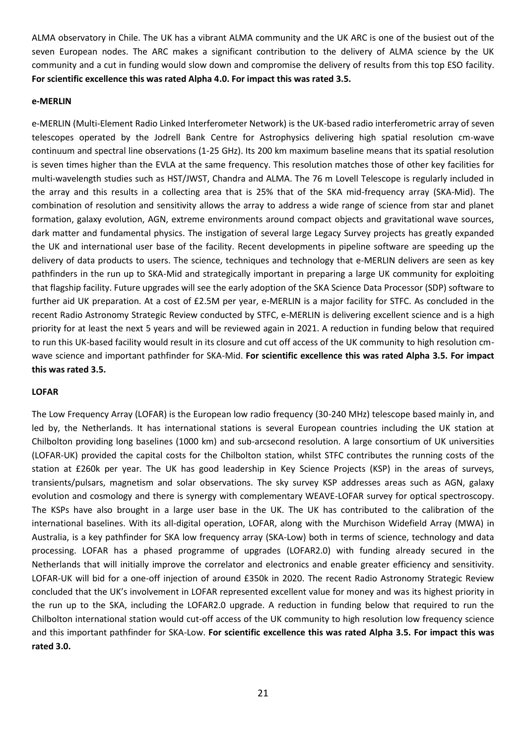ALMA observatory in Chile. The UK has a vibrant ALMA community and the UK ARC is one of the busiest out of the seven European nodes. The ARC makes a significant contribution to the delivery of ALMA science by the UK community and a cut in funding would slow down and compromise the delivery of results from this top ESO facility. **For scientific excellence this was rated Alpha 4.0. For impact this was rated 3.5.**

#### **e-MERLIN**

e-MERLIN (Multi-Element Radio Linked Interferometer Network) is the UK-based radio interferometric array of seven telescopes operated by the Jodrell Bank Centre for Astrophysics delivering high spatial resolution cm-wave continuum and spectral line observations (1-25 GHz). Its 200 km maximum baseline means that its spatial resolution is seven times higher than the EVLA at the same frequency. This resolution matches those of other key facilities for multi-wavelength studies such as HST/JWST, Chandra and ALMA. The 76 m Lovell Telescope is regularly included in the array and this results in a collecting area that is 25% that of the SKA mid-frequency array (SKA-Mid). The combination of resolution and sensitivity allows the array to address a wide range of science from star and planet formation, galaxy evolution, AGN, extreme environments around compact objects and gravitational wave sources, dark matter and fundamental physics. The instigation of several large Legacy Survey projects has greatly expanded the UK and international user base of the facility. Recent developments in pipeline software are speeding up the delivery of data products to users. The science, techniques and technology that e-MERLIN delivers are seen as key pathfinders in the run up to SKA-Mid and strategically important in preparing a large UK community for exploiting that flagship facility. Future upgrades will see the early adoption of the SKA Science Data Processor (SDP) software to further aid UK preparation. At a cost of £2.5M per year, e-MERLIN is a major facility for STFC. As concluded in the recent Radio Astronomy Strategic Review conducted by STFC, e-MERLIN is delivering excellent science and is a high priority for at least the next 5 years and will be reviewed again in 2021. A reduction in funding below that required to run this UK-based facility would result in its closure and cut off access of the UK community to high resolution cmwave science and important pathfinder for SKA-Mid. **For scientific excellence this was rated Alpha 3.5. For impact this was rated 3.5.**

### **LOFAR**

The Low Frequency Array (LOFAR) is the European low radio frequency (30-240 MHz) telescope based mainly in, and led by, the Netherlands. It has international stations is several European countries including the UK station at Chilbolton providing long baselines (1000 km) and sub-arcsecond resolution. A large consortium of UK universities (LOFAR-UK) provided the capital costs for the Chilbolton station, whilst STFC contributes the running costs of the station at £260k per year. The UK has good leadership in Key Science Projects (KSP) in the areas of surveys, transients/pulsars, magnetism and solar observations. The sky survey KSP addresses areas such as AGN, galaxy evolution and cosmology and there is synergy with complementary WEAVE-LOFAR survey for optical spectroscopy. The KSPs have also brought in a large user base in the UK. The UK has contributed to the calibration of the international baselines. With its all-digital operation, LOFAR, along with the Murchison Widefield Array (MWA) in Australia, is a key pathfinder for SKA low frequency array (SKA-Low) both in terms of science, technology and data processing. LOFAR has a phased programme of upgrades (LOFAR2.0) with funding already secured in the Netherlands that will initially improve the correlator and electronics and enable greater efficiency and sensitivity. LOFAR-UK will bid for a one-off injection of around £350k in 2020. The recent Radio Astronomy Strategic Review concluded that the UK's involvement in LOFAR represented excellent value for money and was its highest priority in the run up to the SKA, including the LOFAR2.0 upgrade. A reduction in funding below that required to run the Chilbolton international station would cut-off access of the UK community to high resolution low frequency science and this important pathfinder for SKA-Low. **For scientific excellence this was rated Alpha 3.5. For impact this was rated 3.0.**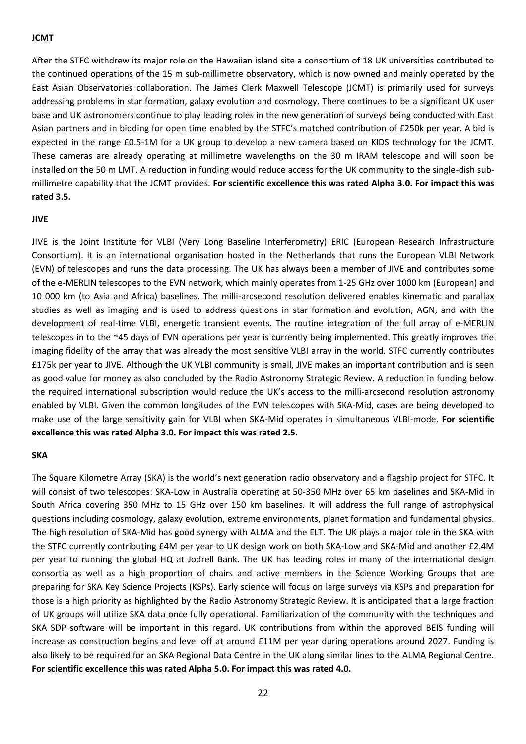#### **JCMT**

After the STFC withdrew its major role on the Hawaiian island site a consortium of 18 UK universities contributed to the continued operations of the 15 m sub-millimetre observatory, which is now owned and mainly operated by the East Asian Observatories collaboration. The James Clerk Maxwell Telescope (JCMT) is primarily used for surveys addressing problems in star formation, galaxy evolution and cosmology. There continues to be a significant UK user base and UK astronomers continue to play leading roles in the new generation of surveys being conducted with East Asian partners and in bidding for open time enabled by the STFC's matched contribution of £250k per year. A bid is expected in the range £0.5-1M for a UK group to develop a new camera based on KIDS technology for the JCMT. These cameras are already operating at millimetre wavelengths on the 30 m IRAM telescope and will soon be installed on the 50 m LMT. A reduction in funding would reduce access for the UK community to the single-dish submillimetre capability that the JCMT provides. **For scientific excellence this was rated Alpha 3.0. For impact this was rated 3.5.**

### **JIVE**

JIVE is the Joint Institute for VLBI (Very Long Baseline Interferometry) ERIC (European Research Infrastructure Consortium). It is an international organisation hosted in the Netherlands that runs the European VLBI Network (EVN) of telescopes and runs the data processing. The UK has always been a member of JIVE and contributes some of the e-MERLIN telescopes to the EVN network, which mainly operates from 1-25 GHz over 1000 km (European) and 10 000 km (to Asia and Africa) baselines. The milli-arcsecond resolution delivered enables kinematic and parallax studies as well as imaging and is used to address questions in star formation and evolution, AGN, and with the development of real-time VLBI, energetic transient events. The routine integration of the full array of e-MERLIN telescopes in to the ~45 days of EVN operations per year is currently being implemented. This greatly improves the imaging fidelity of the array that was already the most sensitive VLBI array in the world. STFC currently contributes £175k per year to JIVE. Although the UK VLBI community is small, JIVE makes an important contribution and is seen as good value for money as also concluded by the Radio Astronomy Strategic Review. A reduction in funding below the required international subscription would reduce the UK's access to the milli-arcsecond resolution astronomy enabled by VLBI. Given the common longitudes of the EVN telescopes with SKA-Mid, cases are being developed to make use of the large sensitivity gain for VLBI when SKA-Mid operates in simultaneous VLBI-mode. **For scientific excellence this was rated Alpha 3.0. For impact this was rated 2.5.**

#### **SKA**

The Square Kilometre Array (SKA) is the world's next generation radio observatory and a flagship project for STFC. It will consist of two telescopes: SKA-Low in Australia operating at 50-350 MHz over 65 km baselines and SKA-Mid in South Africa covering 350 MHz to 15 GHz over 150 km baselines. It will address the full range of astrophysical questions including cosmology, galaxy evolution, extreme environments, planet formation and fundamental physics. The high resolution of SKA-Mid has good synergy with ALMA and the ELT. The UK plays a major role in the SKA with the STFC currently contributing £4M per year to UK design work on both SKA-Low and SKA-Mid and another £2.4M per year to running the global HQ at Jodrell Bank. The UK has leading roles in many of the international design consortia as well as a high proportion of chairs and active members in the Science Working Groups that are preparing for SKA Key Science Projects (KSPs). Early science will focus on large surveys via KSPs and preparation for those is a high priority as highlighted by the Radio Astronomy Strategic Review. It is anticipated that a large fraction of UK groups will utilize SKA data once fully operational. Familiarization of the community with the techniques and SKA SDP software will be important in this regard. UK contributions from within the approved BEIS funding will increase as construction begins and level off at around £11M per year during operations around 2027. Funding is also likely to be required for an SKA Regional Data Centre in the UK along similar lines to the ALMA Regional Centre. **For scientific excellence this was rated Alpha 5.0. For impact this was rated 4.0.**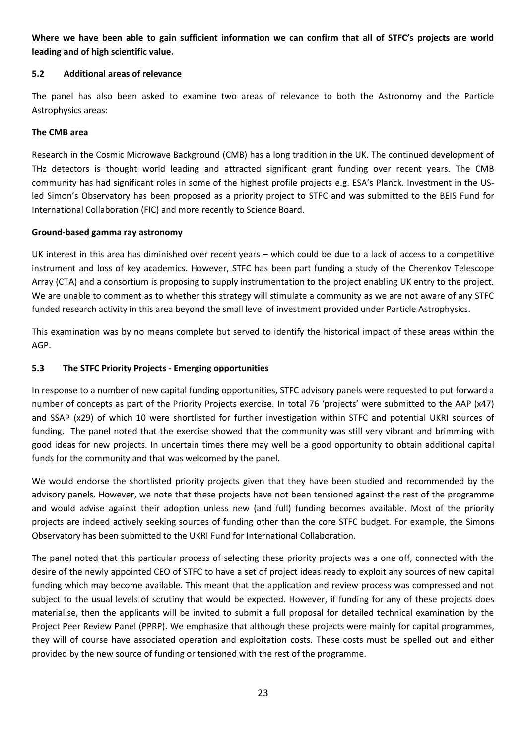**Where we have been able to gain sufficient information we can confirm that all of STFC's projects are world leading and of high scientific value.** 

## **5.2 Additional areas of relevance**

The panel has also been asked to examine two areas of relevance to both the Astronomy and the Particle Astrophysics areas:

## **The CMB area**

Research in the Cosmic Microwave Background (CMB) has a long tradition in the UK. The continued development of THz detectors is thought world leading and attracted significant grant funding over recent years. The CMB community has had significant roles in some of the highest profile projects e.g. ESA's Planck. Investment in the USled Simon's Observatory has been proposed as a priority project to STFC and was submitted to the BEIS Fund for International Collaboration (FIC) and more recently to Science Board.

## **Ground-based gamma ray astronomy**

UK interest in this area has diminished over recent years – which could be due to a lack of access to a competitive instrument and loss of key academics. However, STFC has been part funding a study of the Cherenkov Telescope Array (CTA) and a consortium is proposing to supply instrumentation to the project enabling UK entry to the project. We are unable to comment as to whether this strategy will stimulate a community as we are not aware of any STFC funded research activity in this area beyond the small level of investment provided under Particle Astrophysics.

This examination was by no means complete but served to identify the historical impact of these areas within the AGP.

## **5.3 The STFC Priority Projects - Emerging opportunities**

In response to a number of new capital funding opportunities, STFC advisory panels were requested to put forward a number of concepts as part of the Priority Projects exercise. In total 76 'projects' were submitted to the AAP (x47) and SSAP (x29) of which 10 were shortlisted for further investigation within STFC and potential UKRI sources of funding. The panel noted that the exercise showed that the community was still very vibrant and brimming with good ideas for new projects. In uncertain times there may well be a good opportunity to obtain additional capital funds for the community and that was welcomed by the panel.

We would endorse the shortlisted priority projects given that they have been studied and recommended by the advisory panels. However, we note that these projects have not been tensioned against the rest of the programme and would advise against their adoption unless new (and full) funding becomes available. Most of the priority projects are indeed actively seeking sources of funding other than the core STFC budget. For example, the Simons Observatory has been submitted to the UKRI Fund for International Collaboration.

The panel noted that this particular process of selecting these priority projects was a one off, connected with the desire of the newly appointed CEO of STFC to have a set of project ideas ready to exploit any sources of new capital funding which may become available. This meant that the application and review process was compressed and not subject to the usual levels of scrutiny that would be expected. However, if funding for any of these projects does materialise, then the applicants will be invited to submit a full proposal for detailed technical examination by the Project Peer Review Panel (PPRP). We emphasize that although these projects were mainly for capital programmes, they will of course have associated operation and exploitation costs. These costs must be spelled out and either provided by the new source of funding or tensioned with the rest of the programme.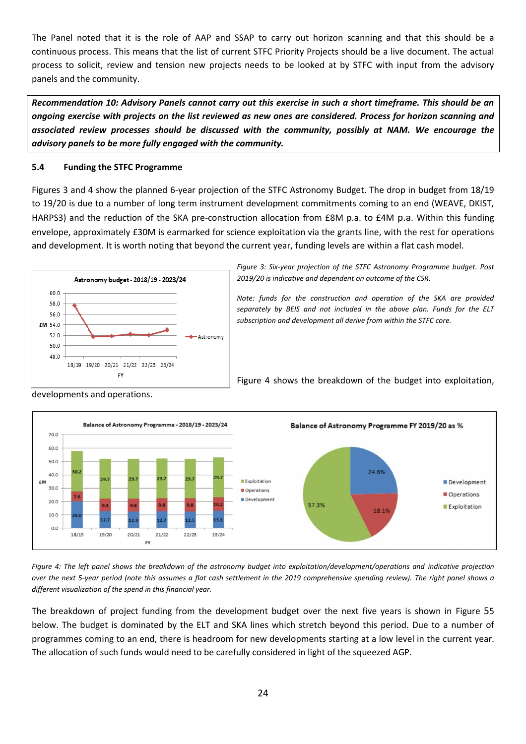The Panel noted that it is the role of AAP and SSAP to carry out horizon scanning and that this should be a continuous process. This means that the list of current STFC Priority Projects should be a live document. The actual process to solicit, review and tension new projects needs to be looked at by STFC with input from the advisory panels and the community.

*Recommendation 10: Advisory Panels cannot carry out this exercise in such a short timeframe. This should be an ongoing exercise with projects on the list reviewed as new ones are considered. Process for horizon scanning and associated review processes should be discussed with the community, possibly at NAM. We encourage the advisory panels to be more fully engaged with the community.*

## **5.4 Funding the STFC Programme**

Figures 3 and 4 show the planned 6-year projection of the STFC Astronomy Budget. The drop in budget from 18/19 to 19/20 is due to a number of long term instrument development commitments coming to an end (WEAVE, DKIST, HARPS3) and the reduction of the SKA pre-construction allocation from £8M p.a. to £4M p.a. Within this funding envelope, approximately £30M is earmarked for science exploitation via the grants line, with the rest for operations and development. It is worth noting that beyond the current year, funding levels are within a flat cash model.



*Figure 3: Six-year projection of the STFC Astronomy Programme budget. Post 2019/20 is indicative and dependent on outcome of the CSR.*

*Note: funds for the construction and operation of the SKA are provided separately by BEIS and not included in the above plan. Funds for the ELT subscription and development all derive from within the STFC core.*

[Figure](#page-23-0) 4 shows the breakdown of the budget into exploitation,



developments and operations.

<span id="page-23-0"></span>*Figure 4: The left panel shows the breakdown of the astronomy budget into exploitation/development/operations and indicative projection over the next 5-year period (note this assumes a flat cash settlement in the 2019 comprehensive spending review). The right panel shows a different visualization of the spend in this financial year.*

The breakdown of project funding from the development budget over the next five years is shown in [Figure](#page-24-0) 55 below. The budget is dominated by the ELT and SKA lines which stretch beyond this period. Due to a number of programmes coming to an end, there is headroom for new developments starting at a low level in the current year. The allocation of such funds would need to be carefully considered in light of the squeezed AGP.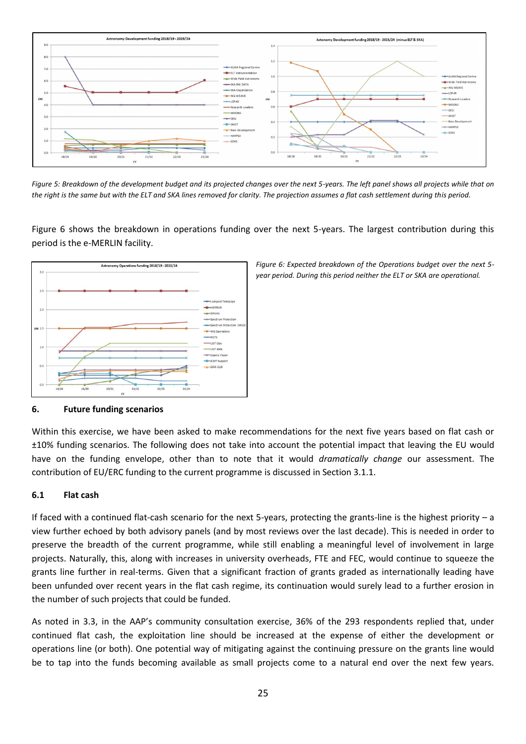

<span id="page-24-0"></span>*Figure 5: Breakdown of the development budget and its projected changes over the next 5-years. The left panel shows all projects while that on the right is the same but with the ELT and SKA lines removed for clarity. The projection assumes a flat cash settlement during this period.*

[Figure](#page-24-1) 6 shows the breakdown in operations funding over the next 5-years. The largest contribution during this period is the e-MERLIN facility.



### **6. Future funding scenarios**

Within this exercise, we have been asked to make recommendations for the next five years based on flat cash or ±10% funding scenarios. The following does not take into account the potential impact that leaving the EU would have on the funding envelope, other than to note that it would *dramatically change* our assessment. The contribution of EU/ERC funding to the current programme is discussed in Section 3.1.1.

### **6.1 Flat cash**

If faced with a continued flat-cash scenario for the next 5-years, protecting the grants-line is the highest priority – a view further echoed by both advisory panels (and by most reviews over the last decade). This is needed in order to preserve the breadth of the current programme, while still enabling a meaningful level of involvement in large projects. Naturally, this, along with increases in university overheads, FTE and FEC, would continue to squeeze the grants line further in real-terms. Given that a significant fraction of grants graded as internationally leading have been unfunded over recent years in the flat cash regime, its continuation would surely lead to a further erosion in the number of such projects that could be funded.

As noted in 3.3, in the AAP's community consultation exercise, 36% of the 293 respondents replied that, under continued flat cash, the exploitation line should be increased at the expense of either the development or operations line (or both). One potential way of mitigating against the continuing pressure on the grants line would be to tap into the funds becoming available as small projects come to a natural end over the next few years.

<span id="page-24-1"></span>*Figure 6: Expected breakdown of the Operations budget over the next 5 year period. During this period neither the ELT or SKA are operational.*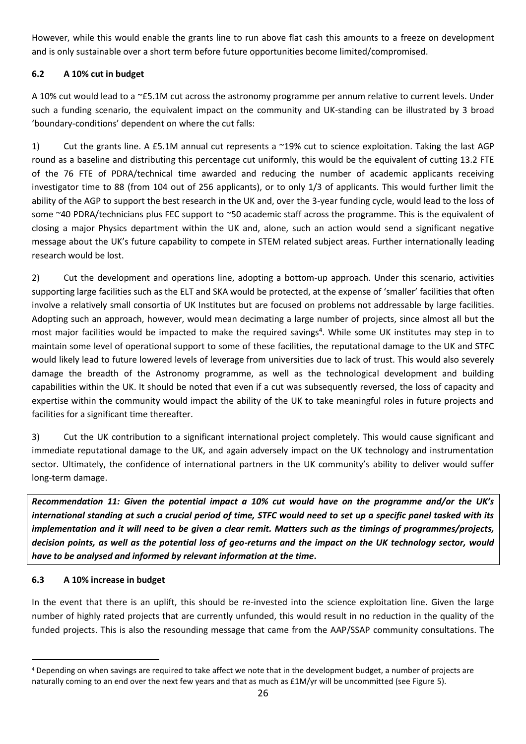However, while this would enable the grants line to run above flat cash this amounts to a freeze on development and is only sustainable over a short term before future opportunities become limited/compromised.

# **6.2 A 10% cut in budget**

A 10% cut would lead to a ~£5.1M cut across the astronomy programme per annum relative to current levels. Under such a funding scenario, the equivalent impact on the community and UK-standing can be illustrated by 3 broad 'boundary-conditions' dependent on where the cut falls:

1) Cut the grants line. A £5.1M annual cut represents a ~19% cut to science exploitation. Taking the last AGP round as a baseline and distributing this percentage cut uniformly, this would be the equivalent of cutting 13.2 FTE of the 76 FTE of PDRA/technical time awarded and reducing the number of academic applicants receiving investigator time to 88 (from 104 out of 256 applicants), or to only 1/3 of applicants. This would further limit the ability of the AGP to support the best research in the UK and, over the 3-year funding cycle, would lead to the loss of some ~40 PDRA/technicians plus FEC support to ~50 academic staff across the programme. This is the equivalent of closing a major Physics department within the UK and, alone, such an action would send a significant negative message about the UK's future capability to compete in STEM related subject areas. Further internationally leading research would be lost.

2) Cut the development and operations line, adopting a bottom-up approach. Under this scenario, activities supporting large facilities such as the ELT and SKA would be protected, at the expense of 'smaller' facilities that often involve a relatively small consortia of UK Institutes but are focused on problems not addressable by large facilities. Adopting such an approach, however, would mean decimating a large number of projects, since almost all but the most major facilities would be impacted to make the required savings<sup>4</sup>. While some UK institutes may step in to maintain some level of operational support to some of these facilities, the reputational damage to the UK and STFC would likely lead to future lowered levels of leverage from universities due to lack of trust. This would also severely damage the breadth of the Astronomy programme, as well as the technological development and building capabilities within the UK. It should be noted that even if a cut was subsequently reversed, the loss of capacity and expertise within the community would impact the ability of the UK to take meaningful roles in future projects and facilities for a significant time thereafter.

3) Cut the UK contribution to a significant international project completely. This would cause significant and immediate reputational damage to the UK, and again adversely impact on the UK technology and instrumentation sector. Ultimately, the confidence of international partners in the UK community's ability to deliver would suffer long-term damage.

*Recommendation 11: Given the potential impact a 10% cut would have on the programme and/or the UK's international standing at such a crucial period of time, STFC would need to set up a specific panel tasked with its implementation and it will need to be given a clear remit. Matters such as the timings of programmes/projects, decision points, as well as the potential loss of geo-returns and the impact on the UK technology sector, would have to be analysed and informed by relevant information at the time***.**

# **6.3 A 10% increase in budget**

In the event that there is an uplift, this should be re-invested into the science exploitation line. Given the large number of highly rated projects that are currently unfunded, this would result in no reduction in the quality of the funded projects. This is also the resounding message that came from the AAP/SSAP community consultations. The

<sup>4</sup> Depending on when savings are required to take affect we note that in the development budget, a number of projects are naturally coming to an end over the next few years and that as much as £1M/yr will be uncommitted (see Figure 5).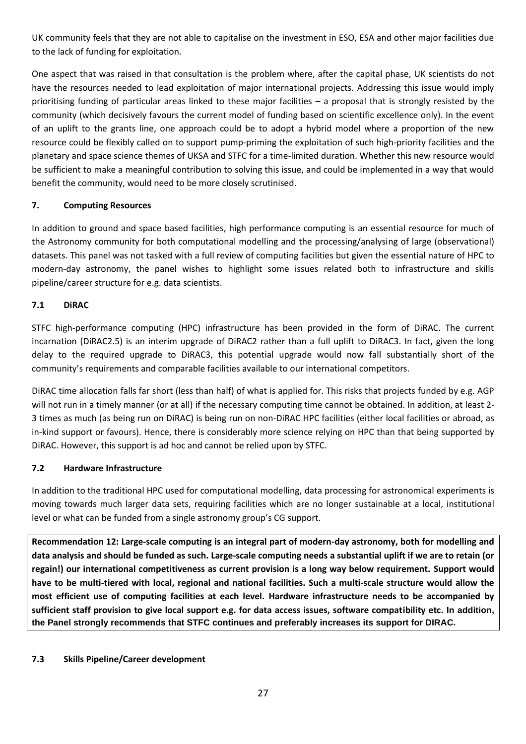UK community feels that they are not able to capitalise on the investment in ESO, ESA and other major facilities due to the lack of funding for exploitation.

One aspect that was raised in that consultation is the problem where, after the capital phase, UK scientists do not have the resources needed to lead exploitation of major international projects. Addressing this issue would imply prioritising funding of particular areas linked to these major facilities – a proposal that is strongly resisted by the community (which decisively favours the current model of funding based on scientific excellence only). In the event of an uplift to the grants line, one approach could be to adopt a hybrid model where a proportion of the new resource could be flexibly called on to support pump-priming the exploitation of such high-priority facilities and the planetary and space science themes of UKSA and STFC for a time-limited duration. Whether this new resource would be sufficient to make a meaningful contribution to solving this issue, and could be implemented in a way that would benefit the community, would need to be more closely scrutinised.

# **7. Computing Resources**

In addition to ground and space based facilities, high performance computing is an essential resource for much of the Astronomy community for both computational modelling and the processing/analysing of large (observational) datasets. This panel was not tasked with a full review of computing facilities but given the essential nature of HPC to modern-day astronomy, the panel wishes to highlight some issues related both to infrastructure and skills pipeline/career structure for e.g. data scientists.

# **7.1 DiRAC**

STFC high-performance computing (HPC) infrastructure has been provided in the form of DiRAC. The current incarnation (DiRAC2.5) is an interim upgrade of DiRAC2 rather than a full uplift to DiRAC3. In fact, given the long delay to the required upgrade to DiRAC3, this potential upgrade would now fall substantially short of the community's requirements and comparable facilities available to our international competitors.

DiRAC time allocation falls far short (less than half) of what is applied for. This risks that projects funded by e.g. AGP will not run in a timely manner (or at all) if the necessary computing time cannot be obtained. In addition, at least 2-3 times as much (as being run on DiRAC) is being run on non-DiRAC HPC facilities (either local facilities or abroad, as in-kind support or favours). Hence, there is considerably more science relying on HPC than that being supported by DiRAC. However, this support is ad hoc and cannot be relied upon by STFC.

## **7.2 Hardware Infrastructure**

In addition to the traditional HPC used for computational modelling, data processing for astronomical experiments is moving towards much larger data sets, requiring facilities which are no longer sustainable at a local, institutional level or what can be funded from a single astronomy group's CG support.

**Recommendation 12: Large-scale computing is an integral part of modern-day astronomy, both for modelling and data analysis and should be funded as such. Large-scale computing needs a substantial uplift if we are to retain (or regain!) our international competitiveness as current provision is a long way below requirement. Support would have to be multi-tiered with local, regional and national facilities. Such a multi-scale structure would allow the most efficient use of computing facilities at each level. Hardware infrastructure needs to be accompanied by sufficient staff provision to give local support e.g. for data access issues, software compatibility etc. In addition, the Panel strongly recommends that STFC continues and preferably increases its support for DIRAC.**

## **7.3 Skills Pipeline/Career development**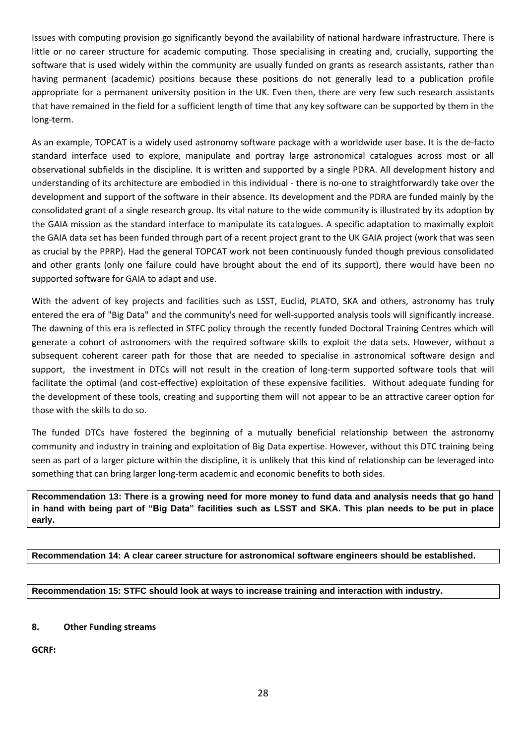Issues with computing provision go significantly beyond the availability of national hardware infrastructure. There is little or no career structure for academic computing. Those specialising in creating and, crucially, supporting the software that is used widely within the community are usually funded on grants as research assistants, rather than having permanent (academic) positions because these positions do not generally lead to a publication profile appropriate for a permanent university position in the UK. Even then, there are very few such research assistants that have remained in the field for a sufficient length of time that any key software can be supported by them in the long-term.

As an example, TOPCAT is a widely used astronomy software package with a worldwide user base. It is the de-facto standard interface used to explore, manipulate and portray large astronomical catalogues across most or all observational subfields in the discipline. It is written and supported by a single PDRA. All development history and understanding of its architecture are embodied in this individual - there is no-one to straightforwardly take over the development and support of the software in their absence. Its development and the PDRA are funded mainly by the consolidated grant of a single research group. Its vital nature to the wide community is illustrated by its adoption by the GAIA mission as the standard interface to manipulate its catalogues. A specific adaptation to maximally exploit the GAIA data set has been funded through part of a recent project grant to the UK GAIA project (work that was seen as crucial by the PPRP). Had the general TOPCAT work not been continuously funded though previous consolidated and other grants (only one failure could have brought about the end of its support), there would have been no supported software for GAIA to adapt and use.

With the advent of key projects and facilities such as LSST, Euclid, PLATO, SKA and others, astronomy has truly entered the era of "Big Data" and the community's need for well-supported analysis tools will significantly increase. The dawning of this era is reflected in STFC policy through the recently funded Doctoral Training Centres which will generate a cohort of astronomers with the required software skills to exploit the data sets. However, without a subsequent coherent career path for those that are needed to specialise in astronomical software design and support, the investment in DTCs will not result in the creation of long-term supported software tools that will facilitate the optimal (and cost-effective) exploitation of these expensive facilities. Without adequate funding for the development of these tools, creating and supporting them will not appear to be an attractive career option for those with the skills to do so.

The funded DTCs have fostered the beginning of a mutually beneficial relationship between the astronomy community and industry in training and exploitation of Big Data expertise. However, without this DTC training being seen as part of a larger picture within the discipline, it is unlikely that this kind of relationship can be leveraged into something that can bring larger long-term academic and economic benefits to both sides.

**Recommendation 13: There is a growing need for more money to fund data and analysis needs that go hand in hand with being part of "Big Data" facilities such as LSST and SKA. This plan needs to be put in place early.**

**Recommendation 14: A clear career structure for astronomical software engineers should be established.**

**Recommendation 15: STFC should look at ways to increase training and interaction with industry.**

### **8. Other Funding streams**

**GCRF:**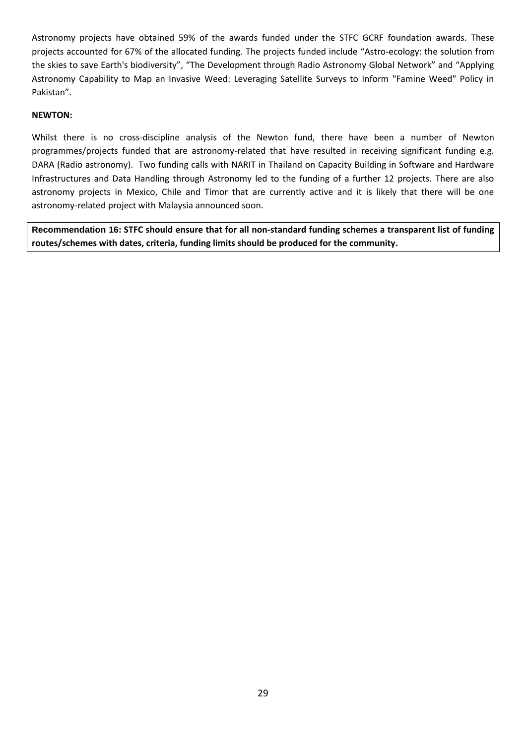Astronomy projects have obtained 59% of the awards funded under the STFC GCRF foundation awards. These projects accounted for 67% of the allocated funding. The projects funded include "Astro-ecology: the solution from the skies to save Earth's biodiversity", "The Development through Radio Astronomy Global Network" and "Applying Astronomy Capability to Map an Invasive Weed: Leveraging Satellite Surveys to Inform "Famine Weed" Policy in Pakistan".

### **NEWTON:**

Whilst there is no cross-discipline analysis of the Newton fund, there have been a number of Newton programmes/projects funded that are astronomy-related that have resulted in receiving significant funding e.g. DARA (Radio astronomy). Two funding calls with NARIT in Thailand on Capacity Building in Software and Hardware Infrastructures and Data Handling through Astronomy led to the funding of a further 12 projects. There are also astronomy projects in Mexico, Chile and Timor that are currently active and it is likely that there will be one astronomy-related project with Malaysia announced soon.

**Recommendation 16: STFC should ensure that for all non-standard funding schemes a transparent list of funding routes/schemes with dates, criteria, funding limits should be produced for the community.**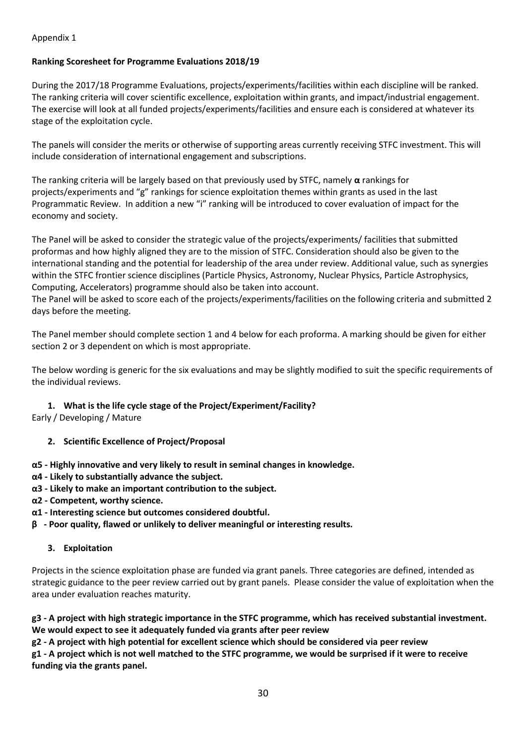# <span id="page-29-0"></span>Appendix 1

# **Ranking Scoresheet for Programme Evaluations 2018/19**

During the 2017/18 Programme Evaluations, projects/experiments/facilities within each discipline will be ranked. The ranking criteria will cover scientific excellence, exploitation within grants, and impact/industrial engagement. The exercise will look at all funded projects/experiments/facilities and ensure each is considered at whatever its stage of the exploitation cycle.

The panels will consider the merits or otherwise of supporting areas currently receiving STFC investment. This will include consideration of international engagement and subscriptions.

The ranking criteria will be largely based on that previously used by STFC, namely **α** rankings for projects/experiments and "g" rankings for science exploitation themes within grants as used in the last Programmatic Review. In addition a new "i" ranking will be introduced to cover evaluation of impact for the economy and society.

The Panel will be asked to consider the strategic value of the projects/experiments/ facilities that submitted proformas and how highly aligned they are to the mission of STFC. Consideration should also be given to the international standing and the potential for leadership of the area under review. Additional value, such as synergies within the STFC frontier science disciplines (Particle Physics, Astronomy, Nuclear Physics, Particle Astrophysics, Computing, Accelerators) programme should also be taken into account.

The Panel will be asked to score each of the projects/experiments/facilities on the following criteria and submitted 2 days before the meeting.

The Panel member should complete section 1 and 4 below for each proforma. A marking should be given for either section 2 or 3 dependent on which is most appropriate.

The below wording is generic for the six evaluations and may be slightly modified to suit the specific requirements of the individual reviews.

## **1. What is the life cycle stage of the Project/Experiment/Facility?**

Early / Developing / Mature

- **2. Scientific Excellence of Project/Proposal**
- **α5 - Highly innovative and very likely to result in seminal changes in knowledge.**
- **α4 - Likely to substantially advance the subject.**
- **α3 - Likely to make an important contribution to the subject.**
- **α2 - Competent, worthy science.**
- **α1 - Interesting science but outcomes considered doubtful.**
- **β - Poor quality, flawed or unlikely to deliver meaningful or interesting results.**

## **3. Exploitation**

Projects in the science exploitation phase are funded via grant panels. Three categories are defined, intended as strategic guidance to the peer review carried out by grant panels. Please consider the value of exploitation when the area under evaluation reaches maturity.

g3 - A project with high strategic importance in the STFC programme, which has received substantial investment. **We would expect to see it adequately funded via grants after peer review**

**g2 - A project with high potential for excellent science which should be considered via peer review**

g1 - A project which is not well matched to the STFC programme, we would be surprised if it were to receive **funding via the grants panel.**